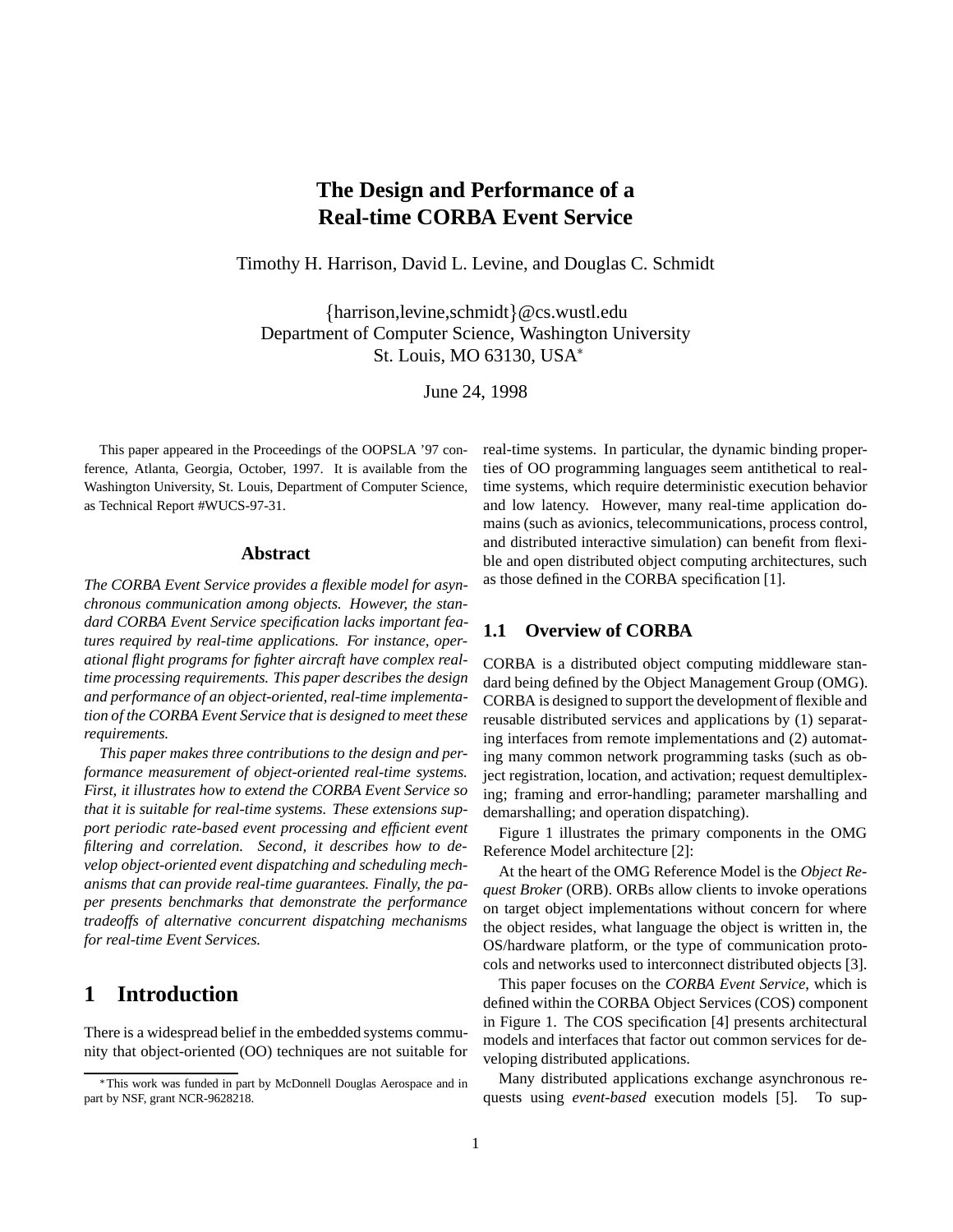# **The Design and Performance of a Real-time CORBA Event Service**

Timothy H. Harrison, David L. Levine, and Douglas C. Schmidt

 $\{harrison, levine,schmidt\}$ @cs.wustl.edu Department of Computer Science, Washington University St. Louis, MO 63130, USA

June 24, 1998

This paper appeared in the Proceedings of the OOPSLA '97 conference, Atlanta, Georgia, October, 1997. It is available from the Washington University, St. Louis, Department of Computer Science, as Technical Report #WUCS-97-31.

#### **Abstract**

*The CORBA Event Service provides a flexible model for asynchronous communication among objects. However, the standard CORBA Event Service specification lacks important features required by real-time applications. For instance, operational flight programs for fighter aircraft have complex realtime processing requirements. This paper describes the design and performance of an object-oriented, real-time implementation of the CORBA Event Service that is designed to meet these requirements.*

*This paper makes three contributions to the design and performance measurement of object-oriented real-time systems. First, it illustrates how to extend the CORBA Event Service so that it is suitable for real-time systems. These extensions support periodic rate-based event processing and efficient event filtering and correlation. Second, it describes how to develop object-oriented event dispatching and scheduling mechanisms that can provide real-time guarantees. Finally, the paper presents benchmarks that demonstrate the performance tradeoffs of alternative concurrent dispatching mechanisms for real-time Event Services.*

# **1 Introduction**

There is a widespread belief in the embedded systems community that object-oriented (OO) techniques are not suitable for real-time systems. In particular, the dynamic binding properties of OO programming languages seem antithetical to realtime systems, which require deterministic execution behavior and low latency. However, many real-time application domains (such as avionics, telecommunications, process control, and distributed interactive simulation) can benefit from flexible and open distributed object computing architectures, such as those defined in the CORBA specification [1].

### **1.1 Overview of CORBA**

CORBA is a distributed object computing middleware standard being defined by the Object Management Group (OMG). CORBA is designed to support the development of flexible and reusable distributed services and applications by (1) separating interfaces from remote implementations and (2) automating many common network programming tasks (such as object registration, location, and activation; request demultiplexing; framing and error-handling; parameter marshalling and demarshalling; and operation dispatching).

Figure 1 illustrates the primary components in the OMG Reference Model architecture [2]:

At the heart of the OMG Reference Model is the *Object Request Broker* (ORB). ORBs allow clients to invoke operations on target object implementations without concern for where the object resides, what language the object is written in, the OS/hardware platform, or the type of communication protocols and networks used to interconnect distributed objects [3].

This paper focuses on the *CORBA Event Service*, which is defined within the CORBA Object Services (COS) component in Figure 1. The COS specification [4] presents architectural models and interfaces that factor out common services for developing distributed applications.

Many distributed applications exchange asynchronous requests using *event-based* execution models [5]. To sup-

This work was funded in part by McDonnell Douglas Aerospace and in part by NSF, grant NCR-9628218.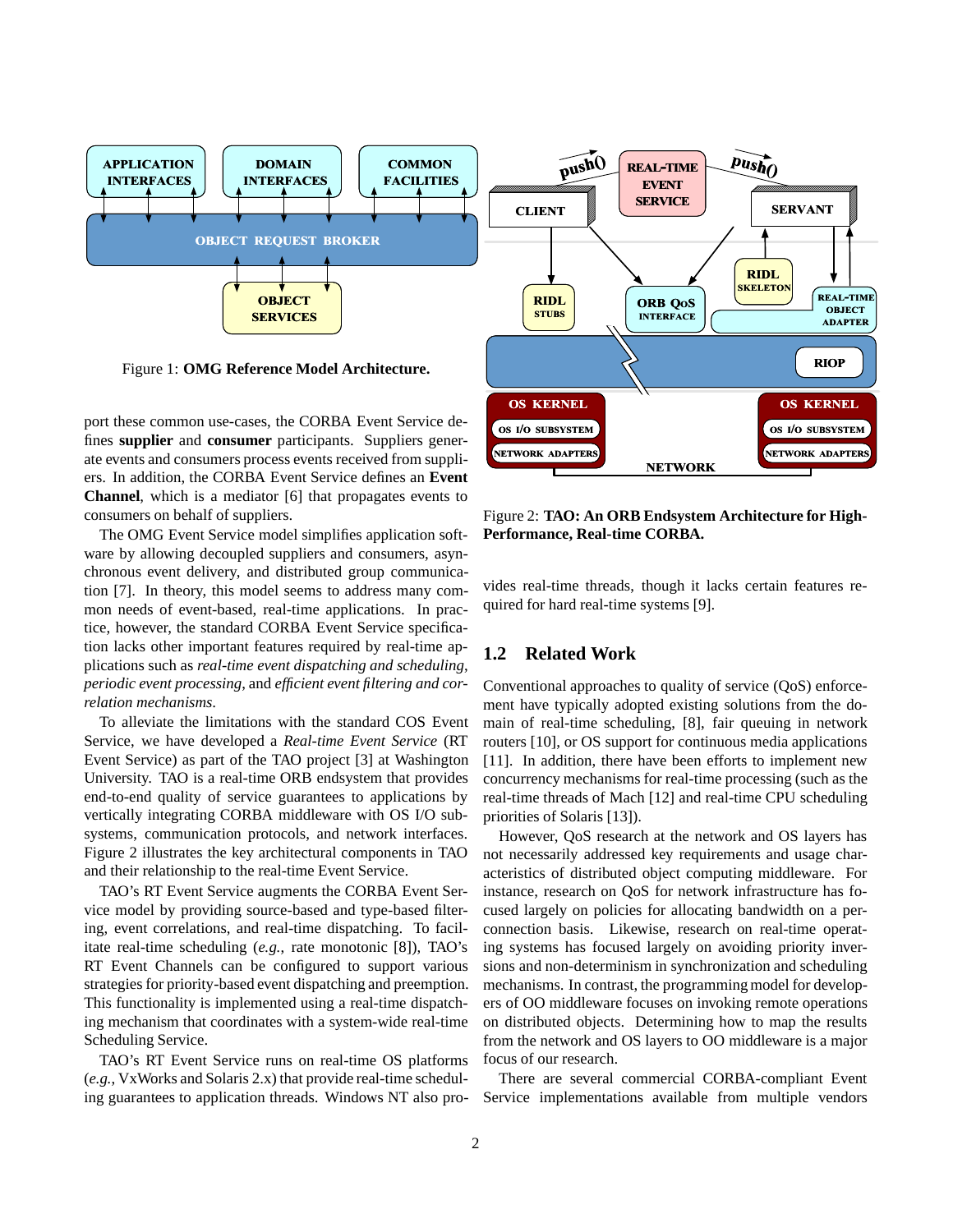

Figure 1: **OMG Reference Model Architecture.**

port these common use-cases, the CORBA Event Service defines **supplier** and **consumer** participants. Suppliers generate events and consumers process events received from suppliers. In addition, the CORBA Event Service defines an **Event Channel**, which is a mediator [6] that propagates events to consumers on behalf of suppliers.

The OMG Event Service model simplifies application software by allowing decoupled suppliers and consumers, asynchronous event delivery, and distributed group communication [7]. In theory, this model seems to address many common needs of event-based, real-time applications. In practice, however, the standard CORBA Event Service specification lacks other important features required by real-time applications such as *real-time event dispatching and scheduling*, *periodic event processing*, and *efficient event filtering and correlation mechanisms*.

To alleviate the limitations with the standard COS Event Service, we have developed a *Real-time Event Service* (RT Event Service) as part of the TAO project [3] at Washington University. TAO is a real-time ORB endsystem that provides end-to-end quality of service guarantees to applications by vertically integrating CORBA middleware with OS I/O subsystems, communication protocols, and network interfaces. Figure 2 illustrates the key architectural components in TAO and their relationship to the real-time Event Service.

TAO's RT Event Service augments the CORBA Event Service model by providing source-based and type-based filtering, event correlations, and real-time dispatching. To facilitate real-time scheduling (*e.g.*, rate monotonic [8]), TAO's RT Event Channels can be configured to support various strategies for priority-based event dispatching and preemption. This functionality is implemented using a real-time dispatching mechanism that coordinates with a system-wide real-time Scheduling Service.

TAO's RT Event Service runs on real-time OS platforms (*e.g.*, VxWorks and Solaris 2.x) that provide real-time scheduling guarantees to application threads. Windows NT also pro-



Figure 2: **TAO: An ORB Endsystem Architecture for High-Performance, Real-time CORBA.**

vides real-time threads, though it lacks certain features required for hard real-time systems [9].

#### **1.2 Related Work**

Conventional approaches to quality of service (QoS) enforcement have typically adopted existing solutions from the domain of real-time scheduling, [8], fair queuing in network routers [10], or OS support for continuous media applications [11]. In addition, there have been efforts to implement new concurrency mechanisms for real-time processing (such as the real-time threads of Mach [12] and real-time CPU scheduling priorities of Solaris [13]).

However, QoS research at the network and OS layers has not necessarily addressed key requirements and usage characteristics of distributed object computing middleware. For instance, research on QoS for network infrastructure has focused largely on policies for allocating bandwidth on a perconnection basis. Likewise, research on real-time operating systems has focused largely on avoiding priority inversions and non-determinism in synchronization and scheduling mechanisms. In contrast, the programming model for developers of OO middleware focuses on invoking remote operations on distributed objects. Determining how to map the results from the network and OS layers to OO middleware is a major focus of our research.

There are several commercial CORBA-compliant Event Service implementations available from multiple vendors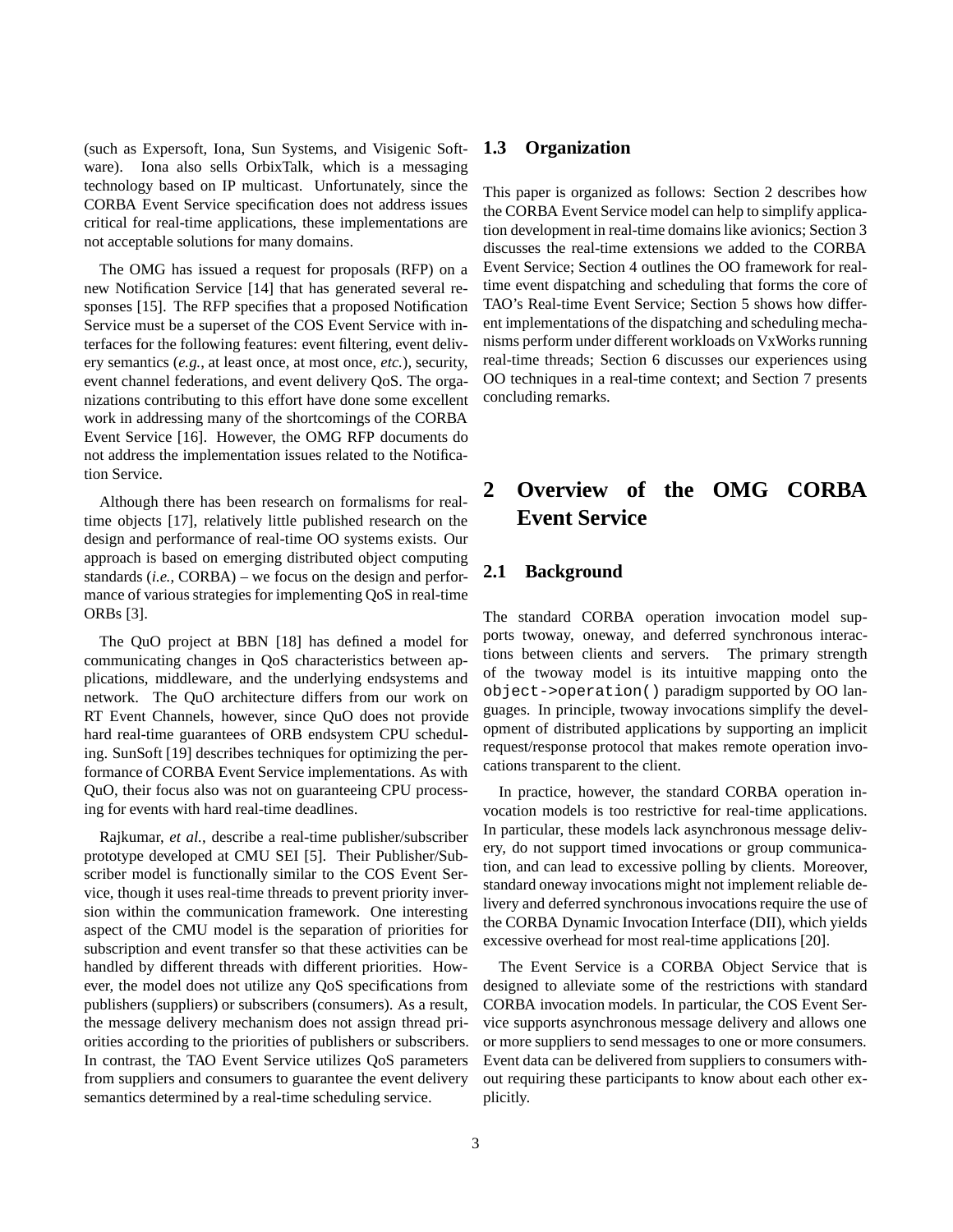(such as Expersoft, Iona, Sun Systems, and Visigenic Software). Iona also sells OrbixTalk, which is a messaging technology based on IP multicast. Unfortunately, since the CORBA Event Service specification does not address issues critical for real-time applications, these implementations are not acceptable solutions for many domains.

The OMG has issued a request for proposals (RFP) on a new Notification Service [14] that has generated several responses [15]. The RFP specifies that a proposed Notification Service must be a superset of the COS Event Service with interfaces for the following features: event filtering, event delivery semantics (*e.g.*, at least once, at most once, *etc.*), security, event channel federations, and event delivery QoS. The organizations contributing to this effort have done some excellent work in addressing many of the shortcomings of the CORBA Event Service [16]. However, the OMG RFP documents do not address the implementation issues related to the Notification Service.

Although there has been research on formalisms for realtime objects [17], relatively little published research on the design and performance of real-time OO systems exists. Our approach is based on emerging distributed object computing standards (*i.e.*, CORBA) – we focus on the design and performance of various strategies for implementing QoS in real-time ORBs [3].

The QuO project at BBN [18] has defined a model for communicating changes in QoS characteristics between applications, middleware, and the underlying endsystems and network. The QuO architecture differs from our work on RT Event Channels, however, since QuO does not provide hard real-time guarantees of ORB endsystem CPU scheduling. SunSoft [19] describes techniques for optimizing the performance of CORBA Event Service implementations. As with QuO, their focus also was not on guaranteeing CPU processing for events with hard real-time deadlines.

Rajkumar, *et al.*, describe a real-time publisher/subscriber prototype developed at CMU SEI [5]. Their Publisher/Subscriber model is functionally similar to the COS Event Service, though it uses real-time threads to prevent priority inversion within the communication framework. One interesting aspect of the CMU model is the separation of priorities for subscription and event transfer so that these activities can be handled by different threads with different priorities. However, the model does not utilize any QoS specifications from publishers (suppliers) or subscribers (consumers). As a result, the message delivery mechanism does not assign thread priorities according to the priorities of publishers or subscribers. In contrast, the TAO Event Service utilizes QoS parameters from suppliers and consumers to guarantee the event delivery semantics determined by a real-time scheduling service.

#### **1.3 Organization**

This paper is organized as follows: Section 2 describes how the CORBA Event Service model can help to simplify application development in real-time domains like avionics; Section 3 discusses the real-time extensions we added to the CORBA Event Service; Section 4 outlines the OO framework for realtime event dispatching and scheduling that forms the core of TAO's Real-time Event Service; Section 5 shows how different implementations of the dispatching and scheduling mechanisms perform under different workloads on VxWorks running real-time threads; Section 6 discusses our experiences using OO techniques in a real-time context; and Section 7 presents concluding remarks.

# **2 Overview of the OMG CORBA Event Service**

#### **2.1 Background**

The standard CORBA operation invocation model supports twoway, oneway, and deferred synchronous interactions between clients and servers. The primary strength of the twoway model is its intuitive mapping onto the object->operation() paradigm supported by OO languages. In principle, twoway invocations simplify the development of distributed applications by supporting an implicit request/response protocol that makes remote operation invocations transparent to the client.

In practice, however, the standard CORBA operation invocation models is too restrictive for real-time applications. In particular, these models lack asynchronous message delivery, do not support timed invocations or group communication, and can lead to excessive polling by clients. Moreover, standard oneway invocations might not implement reliable delivery and deferred synchronous invocations require the use of the CORBA Dynamic Invocation Interface (DII), which yields excessive overhead for most real-time applications [20].

The Event Service is a CORBA Object Service that is designed to alleviate some of the restrictions with standard CORBA invocation models. In particular, the COS Event Service supports asynchronous message delivery and allows one or more suppliers to send messages to one or more consumers. Event data can be delivered from suppliers to consumers without requiring these participants to know about each other explicitly.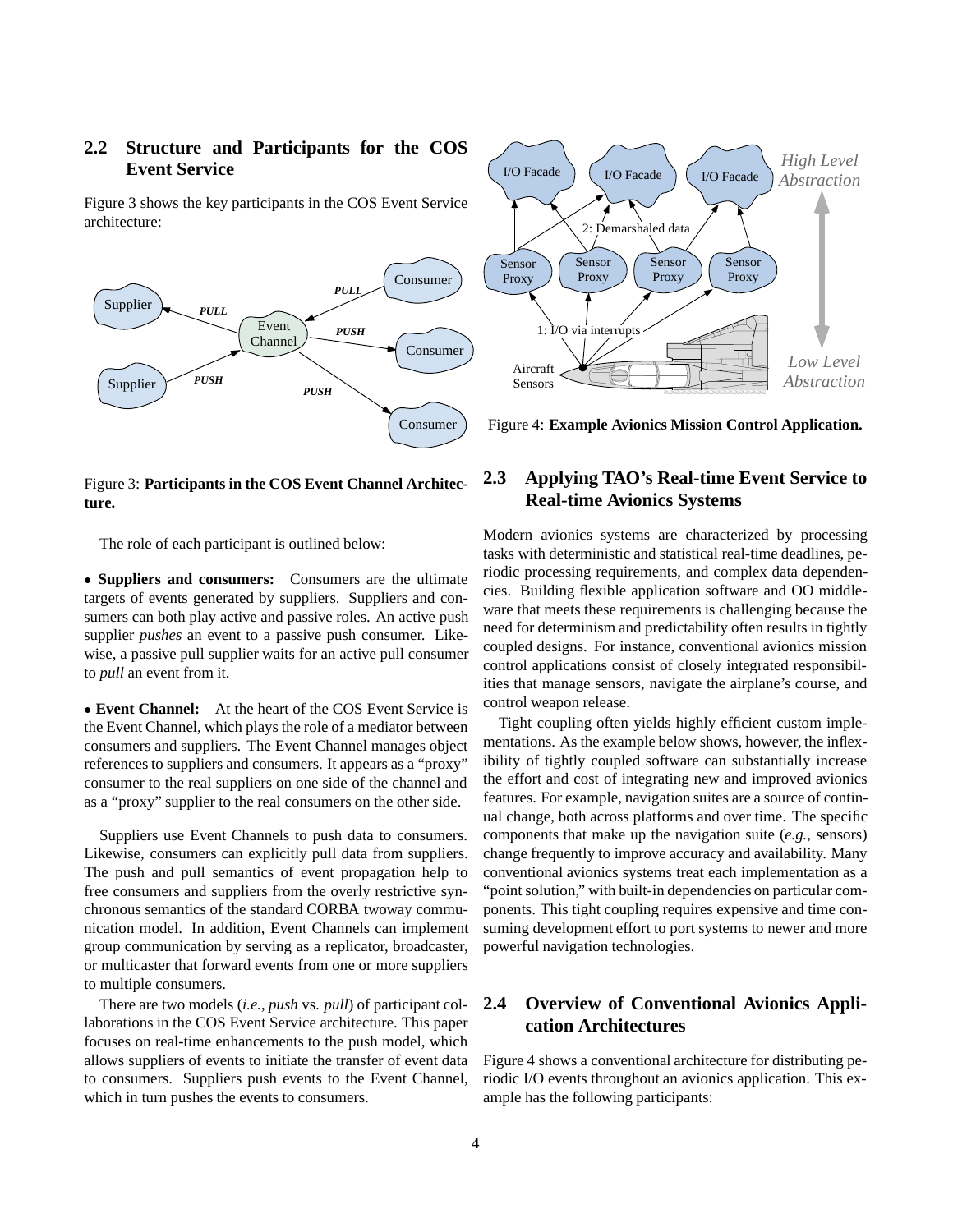### **2.2 Structure and Participants for the COS Event Service**

Figure 3 shows the key participants in the COS Event Service architecture:



Figure 3: **Participants in the COS Event Channel Architecture.**

The role of each participant is outlined below:

 **Suppliers and consumers:** Consumers are the ultimate targets of events generated by suppliers. Suppliers and consumers can both play active and passive roles. An active push supplier *pushes* an event to a passive push consumer. Likewise, a passive pull supplier waits for an active pull consumer to *pull* an event from it.

 **Event Channel:** At the heart of the COS Event Service is the Event Channel, which plays the role of a mediator between consumers and suppliers. The Event Channel manages object references to suppliers and consumers. It appears as a "proxy" consumer to the real suppliers on one side of the channel and as a "proxy" supplier to the real consumers on the other side.

Suppliers use Event Channels to push data to consumers. Likewise, consumers can explicitly pull data from suppliers. The push and pull semantics of event propagation help to free consumers and suppliers from the overly restrictive synchronous semantics of the standard CORBA twoway communication model. In addition, Event Channels can implement group communication by serving as a replicator, broadcaster, or multicaster that forward events from one or more suppliers to multiple consumers.

There are two models (*i.e.*, *push* vs. *pull*) of participant collaborations in the COS Event Service architecture. This paper focuses on real-time enhancements to the push model, which allows suppliers of events to initiate the transfer of event data to consumers. Suppliers push events to the Event Channel, which in turn pushes the events to consumers.



Figure 4: **Example Avionics Mission Control Application.**

## **2.3 Applying TAO's Real-time Event Service to Real-time Avionics Systems**

Modern avionics systems are characterized by processing tasks with deterministic and statistical real-time deadlines, periodic processing requirements, and complex data dependencies. Building flexible application software and OO middleware that meets these requirements is challenging because the need for determinism and predictability often results in tightly coupled designs. For instance, conventional avionics mission control applications consist of closely integrated responsibilities that manage sensors, navigate the airplane's course, and control weapon release.

Tight coupling often yields highly efficient custom implementations. As the example below shows, however, the inflexibility of tightly coupled software can substantially increase the effort and cost of integrating new and improved avionics features. For example, navigation suites are a source of continual change, both across platforms and over time. The specific components that make up the navigation suite (*e.g.*, sensors) change frequently to improve accuracy and availability. Many conventional avionics systems treat each implementation as a "point solution," with built-in dependencies on particular components. This tight coupling requires expensive and time consuming development effort to port systems to newer and more powerful navigation technologies.

### **2.4 Overview of Conventional Avionics Application Architectures**

Figure 4 shows a conventional architecture for distributing periodic I/O events throughout an avionics application. This example has the following participants: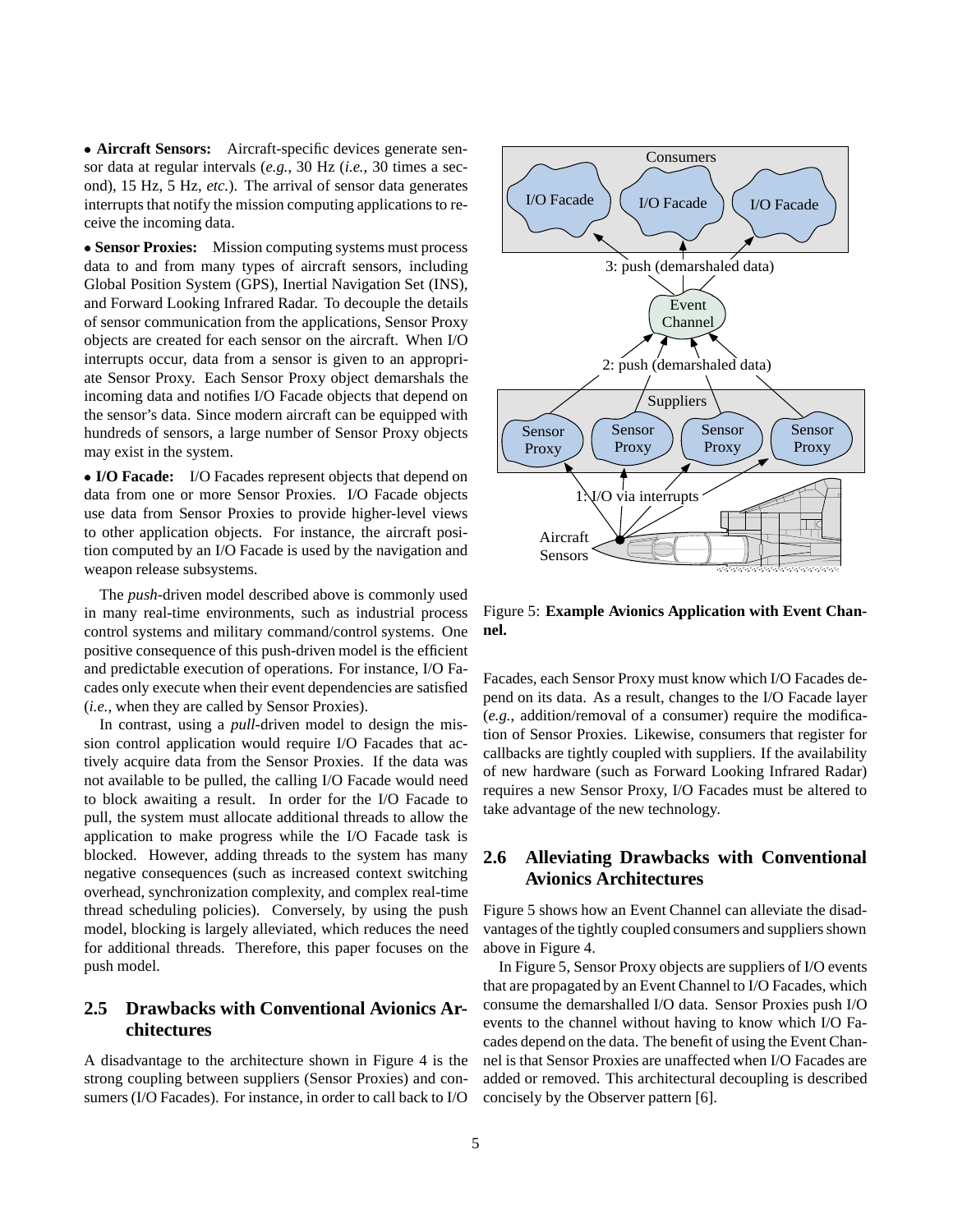**Aircraft Sensors:** Aircraft-specific devices generate sensor data at regular intervals (*e.g.*, 30 Hz (*i.e.*, 30 times a second), 15 Hz, 5 Hz, *etc.*). The arrival of sensor data generates interrupts that notify the mission computing applications to receive the incoming data.

 **Sensor Proxies:** Mission computing systems must process data to and from many types of aircraft sensors, including Global Position System (GPS), Inertial Navigation Set (INS), and Forward Looking Infrared Radar. To decouple the details of sensor communication from the applications, Sensor Proxy objects are created for each sensor on the aircraft. When I/O interrupts occur, data from a sensor is given to an appropriate Sensor Proxy. Each Sensor Proxy object demarshals the incoming data and notifies I/O Facade objects that depend on the sensor's data. Since modern aircraft can be equipped with hundreds of sensors, a large number of Sensor Proxy objects may exist in the system.

 **I/O Facade:** I/O Facades represent objects that depend on data from one or more Sensor Proxies. I/O Facade objects use data from Sensor Proxies to provide higher-level views to other application objects. For instance, the aircraft position computed by an I/O Facade is used by the navigation and weapon release subsystems.

The *push*-driven model described above is commonly used in many real-time environments, such as industrial process control systems and military command/control systems. One positive consequence of this push-driven model is the efficient and predictable execution of operations. For instance, I/O Facades only execute when their event dependencies are satisfied (*i.e.*, when they are called by Sensor Proxies).

In contrast, using a *pull*-driven model to design the mission control application would require I/O Facades that actively acquire data from the Sensor Proxies. If the data was not available to be pulled, the calling I/O Facade would need to block awaiting a result. In order for the I/O Facade to pull, the system must allocate additional threads to allow the application to make progress while the I/O Facade task is blocked. However, adding threads to the system has many negative consequences (such as increased context switching overhead, synchronization complexity, and complex real-time thread scheduling policies). Conversely, by using the push model, blocking is largely alleviated, which reduces the need for additional threads. Therefore, this paper focuses on the push model.

### **2.5 Drawbacks with Conventional Avionics Architectures**

A disadvantage to the architecture shown in Figure 4 is the strong coupling between suppliers (Sensor Proxies) and consumers (I/O Facades). For instance, in order to call back to I/O



Figure 5: **Example Avionics Application with Event Channel.**

Facades, each Sensor Proxy must know which I/O Facades depend on its data. As a result, changes to the I/O Facade layer (*e.g.*, addition/removal of a consumer) require the modification of Sensor Proxies. Likewise, consumers that register for callbacks are tightly coupled with suppliers. If the availability of new hardware (such as Forward Looking Infrared Radar) requires a new Sensor Proxy, I/O Facades must be altered to take advantage of the new technology.

### **2.6 Alleviating Drawbacks with Conventional Avionics Architectures**

Figure 5 shows how an Event Channel can alleviate the disadvantages of the tightly coupled consumers and suppliers shown above in Figure 4.

In Figure 5, Sensor Proxy objects are suppliers of I/O events that are propagated by an Event Channel to I/O Facades, which consume the demarshalled I/O data. Sensor Proxies push I/O events to the channel without having to know which I/O Facades depend on the data. The benefit of using the Event Channel is that Sensor Proxies are unaffected when I/O Facades are added or removed. This architectural decoupling is described concisely by the Observer pattern [6].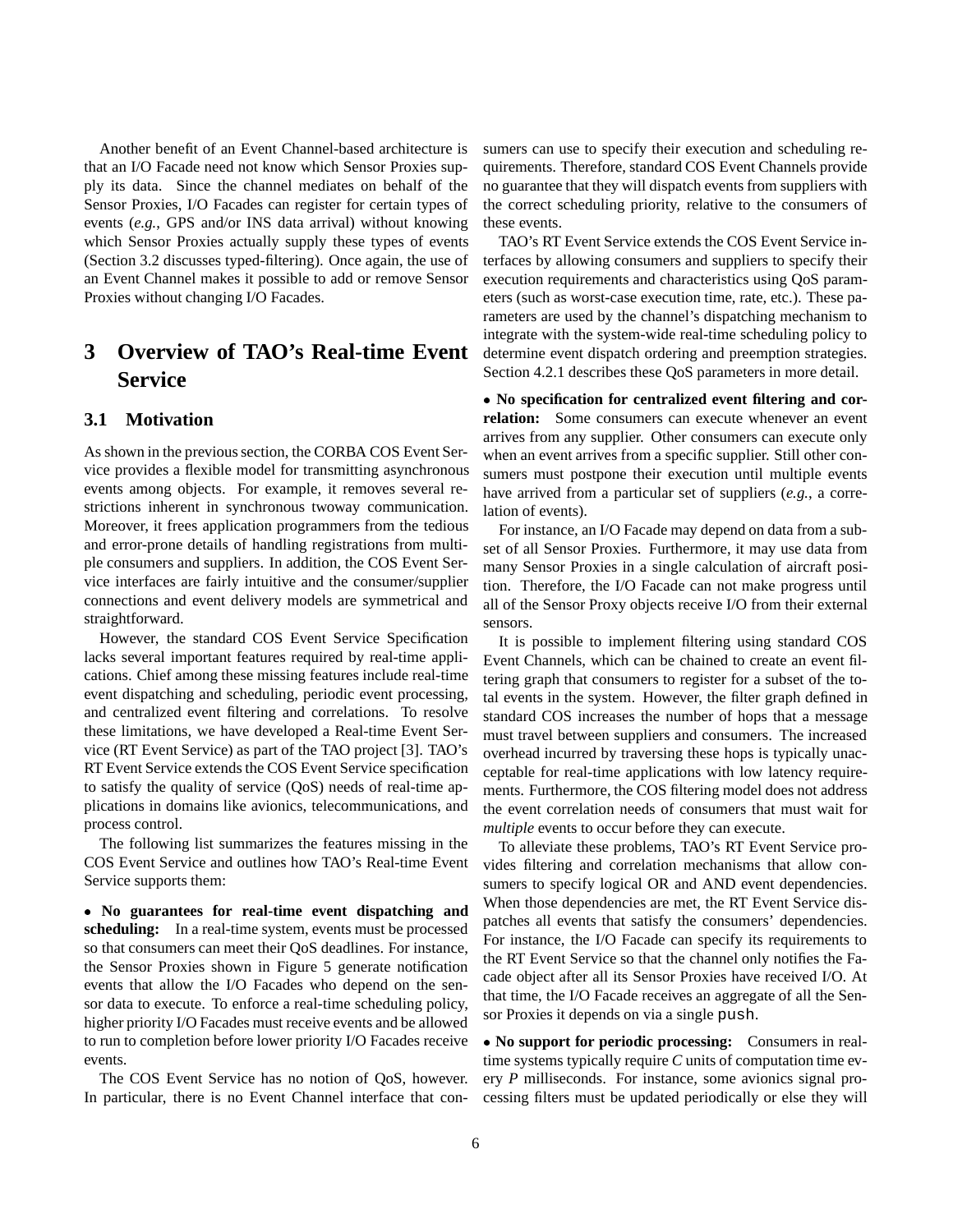Another benefit of an Event Channel-based architecture is that an I/O Facade need not know which Sensor Proxies supply its data. Since the channel mediates on behalf of the Sensor Proxies, I/O Facades can register for certain types of events (*e.g.*, GPS and/or INS data arrival) without knowing which Sensor Proxies actually supply these types of events (Section 3.2 discusses typed-filtering). Once again, the use of an Event Channel makes it possible to add or remove Sensor Proxies without changing I/O Facades.

# **3 Overview of TAO's Real-time Event Service**

### **3.1 Motivation**

As shown in the previous section, the CORBA COS Event Service provides a flexible model for transmitting asynchronous events among objects. For example, it removes several restrictions inherent in synchronous twoway communication. Moreover, it frees application programmers from the tedious and error-prone details of handling registrations from multiple consumers and suppliers. In addition, the COS Event Service interfaces are fairly intuitive and the consumer/supplier connections and event delivery models are symmetrical and straightforward.

However, the standard COS Event Service Specification lacks several important features required by real-time applications. Chief among these missing features include real-time event dispatching and scheduling, periodic event processing, and centralized event filtering and correlations. To resolve these limitations, we have developed a Real-time Event Service (RT Event Service) as part of the TAO project [3]. TAO's RT Event Service extends the COS Event Service specification to satisfy the quality of service (QoS) needs of real-time applications in domains like avionics, telecommunications, and process control.

The following list summarizes the features missing in the COS Event Service and outlines how TAO's Real-time Event Service supports them:

 **No guarantees for real-time event dispatching and scheduling:** In a real-time system, events must be processed so that consumers can meet their QoS deadlines. For instance, the Sensor Proxies shown in Figure 5 generate notification events that allow the I/O Facades who depend on the sensor data to execute. To enforce a real-time scheduling policy, higher priority I/O Facades must receive events and be allowed to run to completion before lower priority I/O Facades receive events.

The COS Event Service has no notion of QoS, however. In particular, there is no Event Channel interface that consumers can use to specify their execution and scheduling requirements. Therefore, standard COS Event Channels provide no guarantee that they will dispatch events from suppliers with the correct scheduling priority, relative to the consumers of these events.

TAO's RT Event Service extends the COS Event Service interfaces by allowing consumers and suppliers to specify their execution requirements and characteristics using QoS parameters (such as worst-case execution time, rate, etc.). These parameters are used by the channel's dispatching mechanism to integrate with the system-wide real-time scheduling policy to determine event dispatch ordering and preemption strategies. Section 4.2.1 describes these QoS parameters in more detail.

 **No specification for centralized event filtering and correlation:** Some consumers can execute whenever an event arrives from any supplier. Other consumers can execute only when an event arrives from a specific supplier. Still other consumers must postpone their execution until multiple events have arrived from a particular set of suppliers (*e.g.*, a correlation of events).

For instance, an I/O Facade may depend on data from a subset of all Sensor Proxies. Furthermore, it may use data from many Sensor Proxies in a single calculation of aircraft position. Therefore, the I/O Facade can not make progress until all of the Sensor Proxy objects receive I/O from their external sensors.

It is possible to implement filtering using standard COS Event Channels, which can be chained to create an event filtering graph that consumers to register for a subset of the total events in the system. However, the filter graph defined in standard COS increases the number of hops that a message must travel between suppliers and consumers. The increased overhead incurred by traversing these hops is typically unacceptable for real-time applications with low latency requirements. Furthermore, the COS filtering model does not address the event correlation needs of consumers that must wait for *multiple* events to occur before they can execute.

To alleviate these problems, TAO's RT Event Service provides filtering and correlation mechanisms that allow consumers to specify logical OR and AND event dependencies. When those dependencies are met, the RT Event Service dispatches all events that satisfy the consumers' dependencies. For instance, the I/O Facade can specify its requirements to the RT Event Service so that the channel only notifies the Facade object after all its Sensor Proxies have received I/O. At that time, the I/O Facade receives an aggregate of all the Sensor Proxies it depends on via a single push.

 **No support for periodic processing:** Consumers in realtime systems typically require *C* units of computation time every *P* milliseconds. For instance, some avionics signal processing filters must be updated periodically or else they will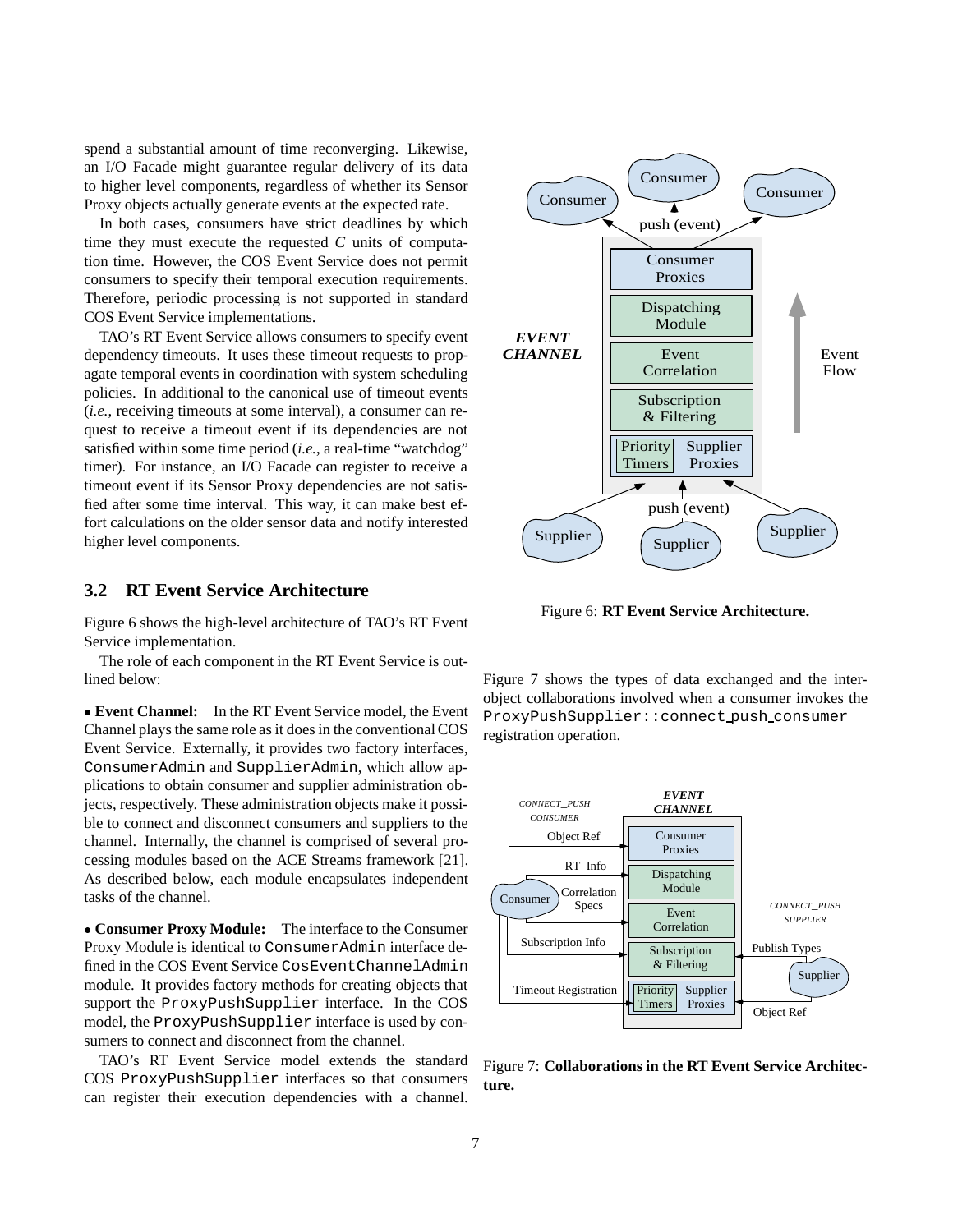spend a substantial amount of time reconverging. Likewise, an I/O Facade might guarantee regular delivery of its data to higher level components, regardless of whether its Sensor Proxy objects actually generate events at the expected rate.

In both cases, consumers have strict deadlines by which time they must execute the requested *C* units of computation time. However, the COS Event Service does not permit consumers to specify their temporal execution requirements. Therefore, periodic processing is not supported in standard COS Event Service implementations.

TAO's RT Event Service allows consumers to specify event dependency timeouts. It uses these timeout requests to propagate temporal events in coordination with system scheduling policies. In additional to the canonical use of timeout events (*i.e.*, receiving timeouts at some interval), a consumer can request to receive a timeout event if its dependencies are not satisfied within some time period (*i.e.*, a real-time "watchdog" timer). For instance, an I/O Facade can register to receive a timeout event if its Sensor Proxy dependencies are not satisfied after some time interval. This way, it can make best effort calculations on the older sensor data and notify interested higher level components.

#### **3.2 RT Event Service Architecture**

Figure 6 shows the high-level architecture of TAO's RT Event Service implementation.

The role of each component in the RT Event Service is outlined below:

 **Event Channel:** In the RT Event Service model, the Event Channel plays the same role as it does in the conventional COS Event Service. Externally, it provides two factory interfaces, ConsumerAdmin and SupplierAdmin, which allow applications to obtain consumer and supplier administration objects, respectively. These administration objects make it possible to connect and disconnect consumers and suppliers to the channel. Internally, the channel is comprised of several processing modules based on the ACE Streams framework [21]. As described below, each module encapsulates independent tasks of the channel.

 **Consumer Proxy Module:** The interface to the Consumer Proxy Module is identical to ConsumerAdmin interface defined in the COS Event Service CosEventChannelAdmin module. It provides factory methods for creating objects that support the ProxyPushSupplier interface. In the COS model, the ProxyPushSupplier interface is used by consumers to connect and disconnect from the channel.

TAO's RT Event Service model extends the standard COS ProxyPushSupplier interfaces so that consumers can register their execution dependencies with a channel.



Figure 6: **RT Event Service Architecture.**

Figure 7 shows the types of data exchanged and the interobject collaborations involved when a consumer invokes the ProxyPushSupplier::connect push consumer registration operation.

![](_page_6_Figure_12.jpeg)

Figure 7: **Collaborations in the RT Event Service Architecture.**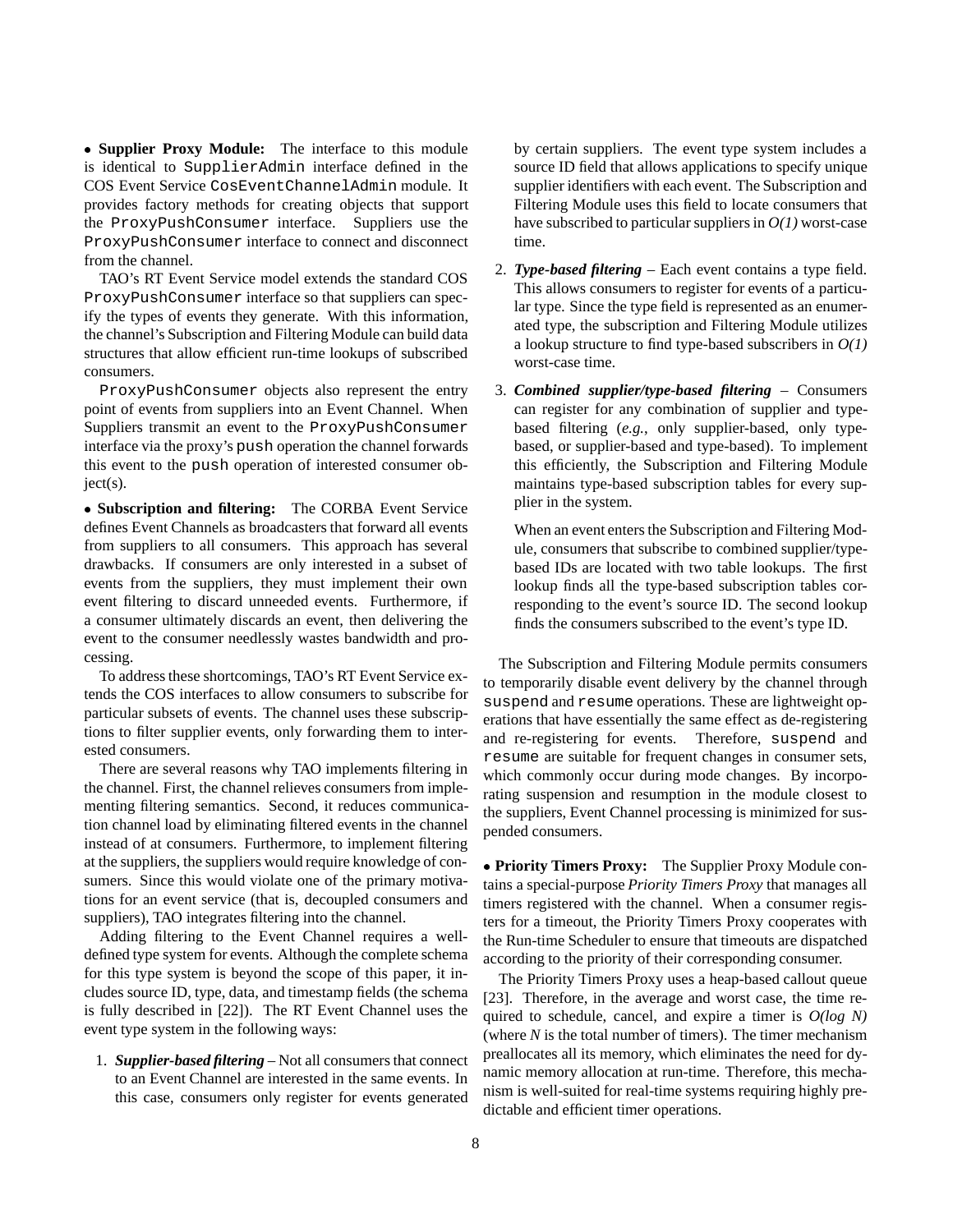**Supplier Proxy Module:** The interface to this module is identical to SupplierAdmin interface defined in the COS Event Service CosEventChannelAdmin module. It provides factory methods for creating objects that support the ProxyPushConsumer interface. Suppliers use the ProxyPushConsumer interface to connect and disconnect from the channel.

TAO's RT Event Service model extends the standard COS ProxyPushConsumer interface so that suppliers can specify the types of events they generate. With this information, the channel's Subscription and Filtering Module can build data structures that allow efficient run-time lookups of subscribed consumers.

ProxyPushConsumer objects also represent the entry point of events from suppliers into an Event Channel. When Suppliers transmit an event to the ProxyPushConsumer interface via the proxy's push operation the channel forwards this event to the push operation of interested consumer object(s).

 **Subscription and filtering:** The CORBA Event Service defines Event Channels as broadcasters that forward all events from suppliers to all consumers. This approach has several drawbacks. If consumers are only interested in a subset of events from the suppliers, they must implement their own event filtering to discard unneeded events. Furthermore, if a consumer ultimately discards an event, then delivering the event to the consumer needlessly wastes bandwidth and processing.

To address these shortcomings, TAO's RT Event Service extends the COS interfaces to allow consumers to subscribe for particular subsets of events. The channel uses these subscriptions to filter supplier events, only forwarding them to interested consumers.

There are several reasons why TAO implements filtering in the channel. First, the channel relieves consumers from implementing filtering semantics. Second, it reduces communication channel load by eliminating filtered events in the channel instead of at consumers. Furthermore, to implement filtering at the suppliers, the suppliers would require knowledge of consumers. Since this would violate one of the primary motivations for an event service (that is, decoupled consumers and suppliers), TAO integrates filtering into the channel.

Adding filtering to the Event Channel requires a welldefined type system for events. Although the complete schema for this type system is beyond the scope of this paper, it includes source ID, type, data, and timestamp fields (the schema is fully described in [22]). The RT Event Channel uses the event type system in the following ways:

1. *Supplier-based filtering* – Not all consumers that connect to an Event Channel are interested in the same events. In this case, consumers only register for events generated by certain suppliers. The event type system includes a source ID field that allows applications to specify unique supplier identifiers with each event. The Subscription and Filtering Module uses this field to locate consumers that have subscribed to particular suppliers in *O(1)* worst-case time.

- 2. *Type-based filtering* Each event contains a type field. This allows consumers to register for events of a particular type. Since the type field is represented as an enumerated type, the subscription and Filtering Module utilizes a lookup structure to find type-based subscribers in *O(1)* worst-case time.
- 3. *Combined supplier/type-based filtering* Consumers can register for any combination of supplier and typebased filtering (*e.g.*, only supplier-based, only typebased, or supplier-based and type-based). To implement this efficiently, the Subscription and Filtering Module maintains type-based subscription tables for every supplier in the system.

When an event enters the Subscription and Filtering Module, consumers that subscribe to combined supplier/typebased IDs are located with two table lookups. The first lookup finds all the type-based subscription tables corresponding to the event's source ID. The second lookup finds the consumers subscribed to the event's type ID.

The Subscription and Filtering Module permits consumers to temporarily disable event delivery by the channel through suspend and resume operations. These are lightweight operations that have essentially the same effect as de-registering and re-registering for events. Therefore, suspend and resume are suitable for frequent changes in consumer sets, which commonly occur during mode changes. By incorporating suspension and resumption in the module closest to the suppliers, Event Channel processing is minimized for suspended consumers.

 **Priority Timers Proxy:** The Supplier Proxy Module contains a special-purpose *Priority Timers Proxy* that manages all timers registered with the channel. When a consumer registers for a timeout, the Priority Timers Proxy cooperates with the Run-time Scheduler to ensure that timeouts are dispatched according to the priority of their corresponding consumer.

The Priority Timers Proxy uses a heap-based callout queue [23]. Therefore, in the average and worst case, the time required to schedule, cancel, and expire a timer is *O(log N)* (where  $N$  is the total number of timers). The timer mechanism preallocates all its memory, which eliminates the need for dynamic memory allocation at run-time. Therefore, this mechanism is well-suited for real-time systems requiring highly predictable and efficient timer operations.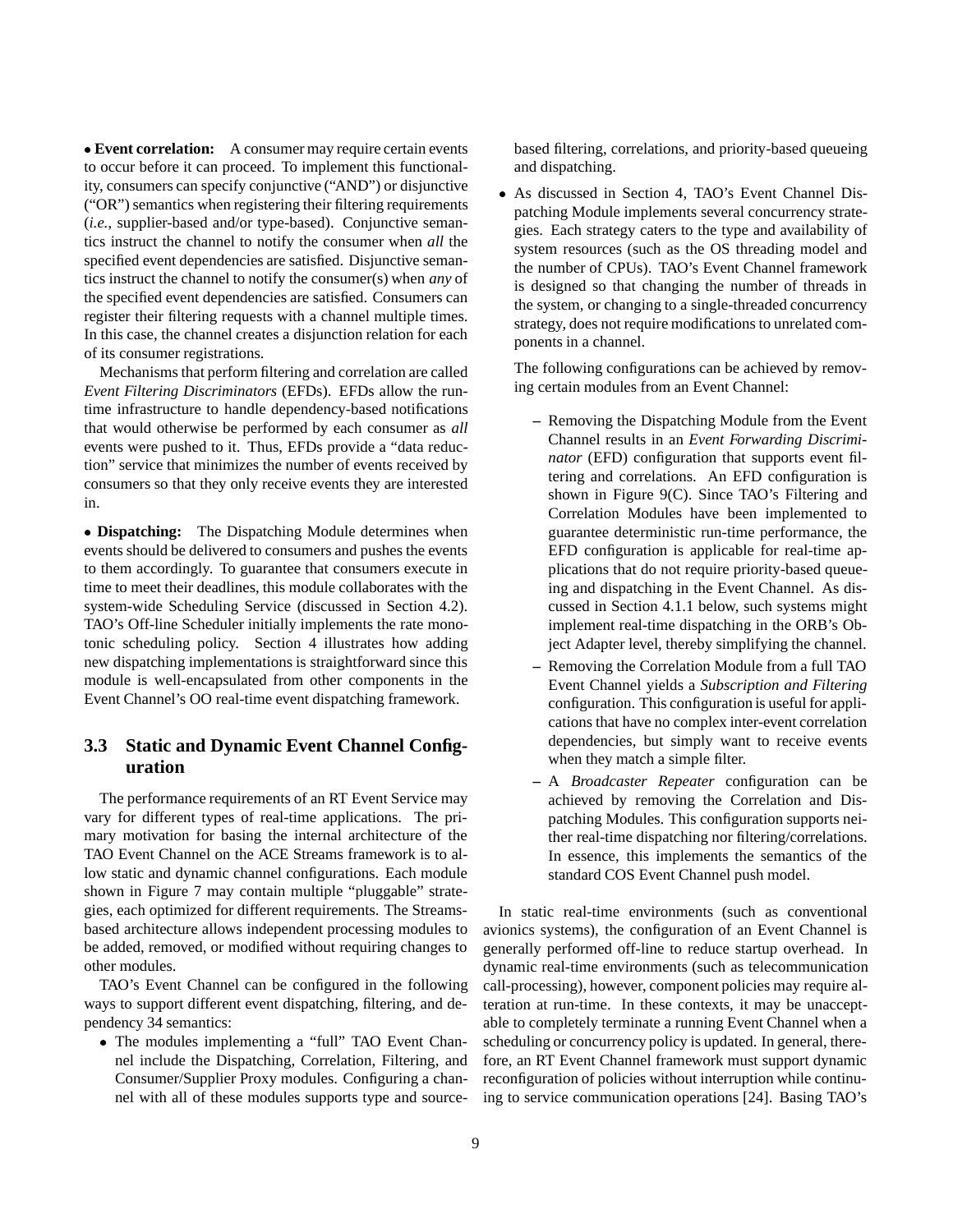**Event correlation:** A consumer may require certain events to occur before it can proceed. To implement this functionality, consumers can specify conjunctive ("AND") or disjunctive ("OR") semantics when registering their filtering requirements (*i.e.*, supplier-based and/or type-based). Conjunctive semantics instruct the channel to notify the consumer when *all* the specified event dependencies are satisfied. Disjunctive semantics instruct the channel to notify the consumer(s) when *any* of the specified event dependencies are satisfied. Consumers can register their filtering requests with a channel multiple times. In this case, the channel creates a disjunction relation for each of its consumer registrations.

Mechanisms that perform filtering and correlation are called *Event Filtering Discriminators* (EFDs). EFDs allow the runtime infrastructure to handle dependency-based notifications that would otherwise be performed by each consumer as *all* events were pushed to it. Thus, EFDs provide a "data reduction" service that minimizes the number of events received by consumers so that they only receive events they are interested in.

 **Dispatching:** The Dispatching Module determines when events should be delivered to consumers and pushes the events to them accordingly. To guarantee that consumers execute in time to meet their deadlines, this module collaborates with the system-wide Scheduling Service (discussed in Section 4.2). TAO's Off-line Scheduler initially implements the rate monotonic scheduling policy. Section 4 illustrates how adding new dispatching implementations is straightforward since this module is well-encapsulated from other components in the Event Channel's OO real-time event dispatching framework.

### **3.3 Static and Dynamic Event Channel Configuration**

The performance requirements of an RT Event Service may vary for different types of real-time applications. The primary motivation for basing the internal architecture of the TAO Event Channel on the ACE Streams framework is to allow static and dynamic channel configurations. Each module shown in Figure 7 may contain multiple "pluggable" strategies, each optimized for different requirements. The Streamsbased architecture allows independent processing modules to be added, removed, or modified without requiring changes to other modules.

TAO's Event Channel can be configured in the following ways to support different event dispatching, filtering, and dependency 34 semantics:

 The modules implementing a "full" TAO Event Channel include the Dispatching, Correlation, Filtering, and Consumer/Supplier Proxy modules. Configuring a channel with all of these modules supports type and sourcebased filtering, correlations, and priority-based queueing and dispatching.

 As discussed in Section 4, TAO's Event Channel Dispatching Module implements several concurrency strategies. Each strategy caters to the type and availability of system resources (such as the OS threading model and the number of CPUs). TAO's Event Channel framework is designed so that changing the number of threads in the system, or changing to a single-threaded concurrency strategy, does not require modifications to unrelated components in a channel.

The following configurations can be achieved by removing certain modules from an Event Channel:

- **–** Removing the Dispatching Module from the Event Channel results in an *Event Forwarding Discriminator* (EFD) configuration that supports event filtering and correlations. An EFD configuration is shown in Figure 9(C). Since TAO's Filtering and Correlation Modules have been implemented to guarantee deterministic run-time performance, the EFD configuration is applicable for real-time applications that do not require priority-based queueing and dispatching in the Event Channel. As discussed in Section 4.1.1 below, such systems might implement real-time dispatching in the ORB's Object Adapter level, thereby simplifying the channel.
- **–** Removing the Correlation Module from a full TAO Event Channel yields a *Subscription and Filtering* configuration. This configuration is useful for applications that have no complex inter-event correlation dependencies, but simply want to receive events when they match a simple filter.
- **–** A *Broadcaster Repeater* configuration can be achieved by removing the Correlation and Dispatching Modules. This configuration supports neither real-time dispatching nor filtering/correlations. In essence, this implements the semantics of the standard COS Event Channel push model.

In static real-time environments (such as conventional avionics systems), the configuration of an Event Channel is generally performed off-line to reduce startup overhead. In dynamic real-time environments (such as telecommunication call-processing), however, component policies may require alteration at run-time. In these contexts, it may be unacceptable to completely terminate a running Event Channel when a scheduling or concurrency policy is updated. In general, therefore, an RT Event Channel framework must support dynamic reconfiguration of policies without interruption while continuing to service communication operations [24]. Basing TAO's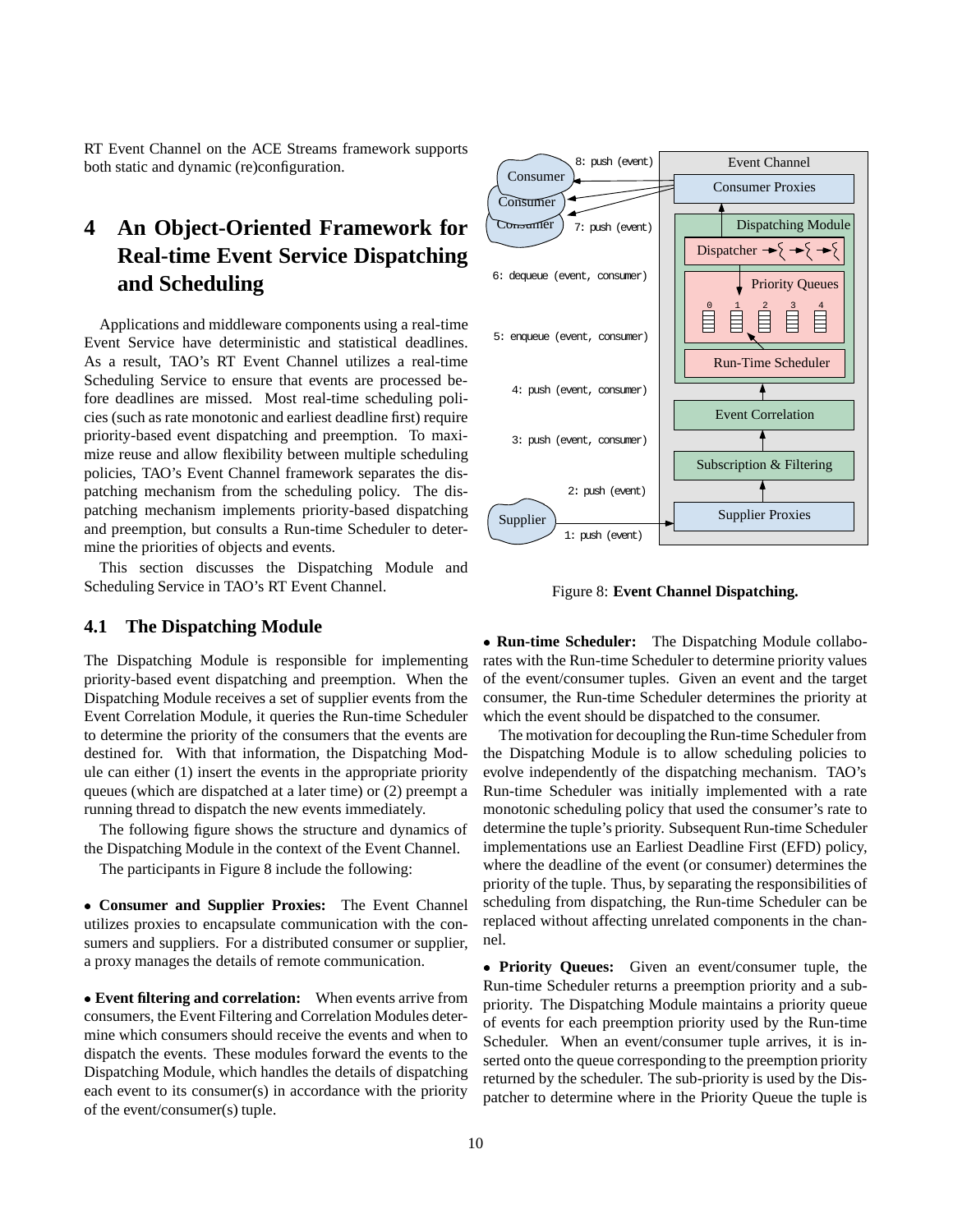RT Event Channel on the ACE Streams framework supports both static and dynamic (re)configuration.

# **4 An Object-Oriented Framework for Real-time Event Service Dispatching and Scheduling**

Applications and middleware components using a real-time Event Service have deterministic and statistical deadlines. As a result, TAO's RT Event Channel utilizes a real-time Scheduling Service to ensure that events are processed before deadlines are missed. Most real-time scheduling policies (such as rate monotonic and earliest deadline first) require priority-based event dispatching and preemption. To maximize reuse and allow flexibility between multiple scheduling policies, TAO's Event Channel framework separates the dispatching mechanism from the scheduling policy. The dispatching mechanism implements priority-based dispatching and preemption, but consults a Run-time Scheduler to determine the priorities of objects and events.

This section discusses the Dispatching Module and Scheduling Service in TAO's RT Event Channel.

### **4.1 The Dispatching Module**

The Dispatching Module is responsible for implementing priority-based event dispatching and preemption. When the Dispatching Module receives a set of supplier events from the Event Correlation Module, it queries the Run-time Scheduler to determine the priority of the consumers that the events are destined for. With that information, the Dispatching Module can either (1) insert the events in the appropriate priority queues (which are dispatched at a later time) or (2) preempt a running thread to dispatch the new events immediately.

The following figure shows the structure and dynamics of the Dispatching Module in the context of the Event Channel.

The participants in Figure 8 include the following:

 **Consumer and Supplier Proxies:** The Event Channel utilizes proxies to encapsulate communication with the consumers and suppliers. For a distributed consumer or supplier, a proxy manages the details of remote communication.

 **Event filtering and correlation:** When events arrive from consumers, the Event Filtering and Correlation Modules determine which consumers should receive the events and when to dispatch the events. These modules forward the events to the Dispatching Module, which handles the details of dispatching each event to its consumer(s) in accordance with the priority of the event/consumer(s) tuple.

![](_page_9_Figure_10.jpeg)

Figure 8: **Event Channel Dispatching.**

 **Run-time Scheduler:** The Dispatching Module collaborates with the Run-time Scheduler to determine priority values of the event/consumer tuples. Given an event and the target consumer, the Run-time Scheduler determines the priority at which the event should be dispatched to the consumer.

The motivation for decoupling the Run-time Scheduler from the Dispatching Module is to allow scheduling policies to evolve independently of the dispatching mechanism. TAO's Run-time Scheduler was initially implemented with a rate monotonic scheduling policy that used the consumer's rate to determine the tuple's priority. Subsequent Run-time Scheduler implementations use an Earliest Deadline First (EFD) policy, where the deadline of the event (or consumer) determines the priority of the tuple. Thus, by separating the responsibilities of scheduling from dispatching, the Run-time Scheduler can be replaced without affecting unrelated components in the channel.

 **Priority Queues:** Given an event/consumer tuple, the Run-time Scheduler returns a preemption priority and a subpriority. The Dispatching Module maintains a priority queue of events for each preemption priority used by the Run-time Scheduler. When an event/consumer tuple arrives, it is inserted onto the queue corresponding to the preemption priority returned by the scheduler. The sub-priority is used by the Dispatcher to determine where in the Priority Queue the tuple is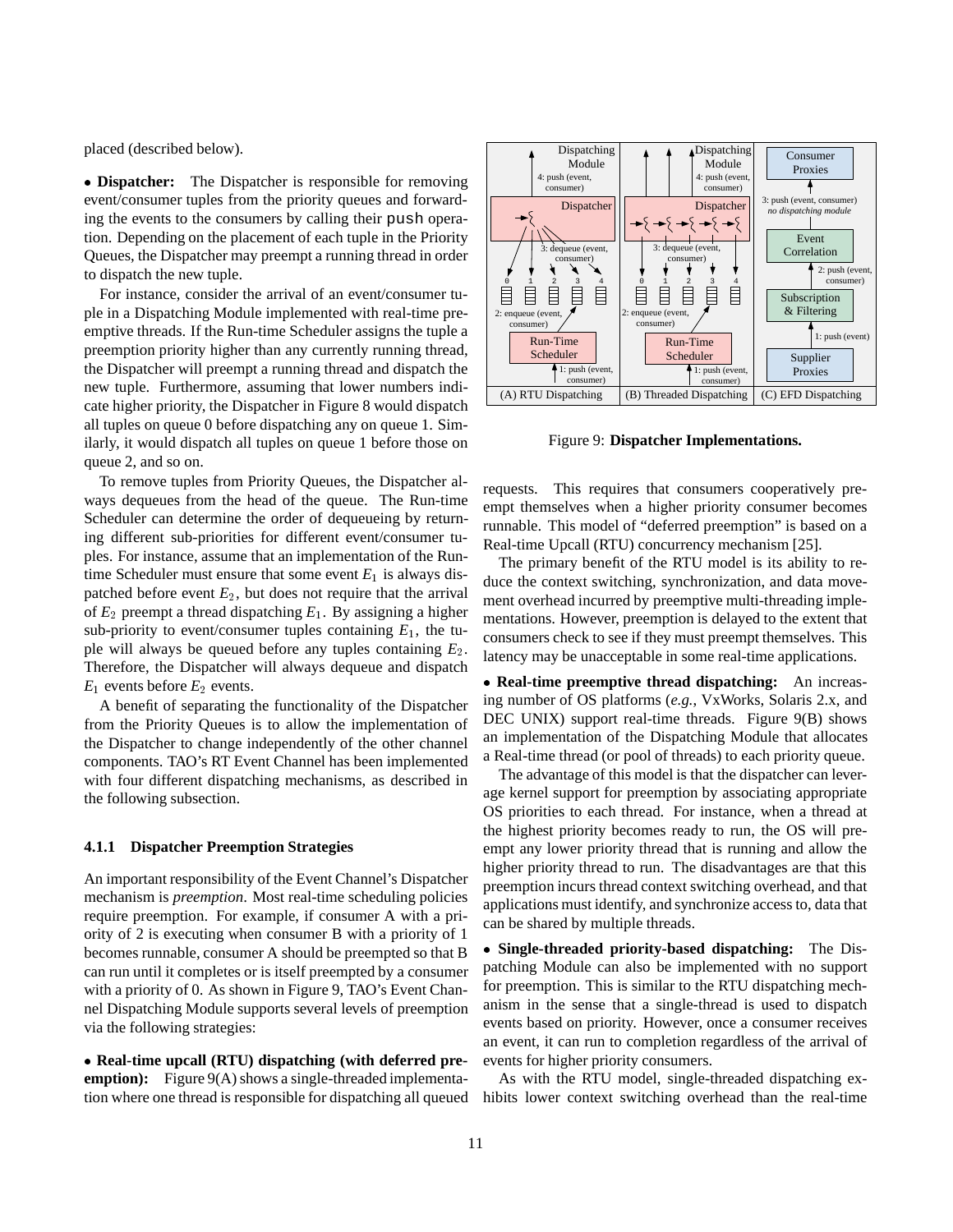placed (described below).

 **Dispatcher:** The Dispatcher is responsible for removing event/consumer tuples from the priority queues and forwarding the events to the consumers by calling their push operation. Depending on the placement of each tuple in the Priority Queues, the Dispatcher may preempt a running thread in order to dispatch the new tuple.

For instance, consider the arrival of an event/consumer tuple in a Dispatching Module implemented with real-time preemptive threads. If the Run-time Scheduler assigns the tuple a preemption priority higher than any currently running thread, the Dispatcher will preempt a running thread and dispatch the new tuple. Furthermore, assuming that lower numbers indicate higher priority, the Dispatcher in Figure 8 would dispatch all tuples on queue 0 before dispatching any on queue 1. Similarly, it would dispatch all tuples on queue 1 before those on queue 2, and so on.

To remove tuples from Priority Queues, the Dispatcher always dequeues from the head of the queue. The Run-time Scheduler can determine the order of dequeueing by returning different sub-priorities for different event/consumer tuples. For instance, assume that an implementation of the Runtime Scheduler must ensure that some event  $E_1$  is always dispatched before event  $E_2$ , but does not require that the arrival of  $E_2$  preempt a thread dispatching  $E_1$ . By assigning a higher sub-priority to event/consumer tuples containing  $E_1$ , the tuple will always be queued before any tuples containing *E*2. Therefore, the Dispatcher will always dequeue and dispatch  $E_1$  events before  $E_2$  events.

A benefit of separating the functionality of the Dispatcher from the Priority Queues is to allow the implementation of the Dispatcher to change independently of the other channel components. TAO's RT Event Channel has been implemented with four different dispatching mechanisms, as described in the following subsection.

#### **4.1.1 Dispatcher Preemption Strategies**

An important responsibility of the Event Channel's Dispatcher mechanism is *preemption*. Most real-time scheduling policies require preemption. For example, if consumer A with a priority of 2 is executing when consumer B with a priority of 1 becomes runnable, consumer A should be preempted so that B can run until it completes or is itself preempted by a consumer with a priority of 0. As shown in Figure 9, TAO's Event Channel Dispatching Module supports several levels of preemption via the following strategies:

 **Real-time upcall (RTU) dispatching (with deferred preemption):** Figure 9(A) shows a single-threaded implementation where one thread is responsible for dispatching all queued

![](_page_10_Figure_8.jpeg)

Figure 9: **Dispatcher Implementations.**

requests. This requires that consumers cooperatively preempt themselves when a higher priority consumer becomes runnable. This model of "deferred preemption" is based on a Real-time Upcall (RTU) concurrency mechanism [25].

The primary benefit of the RTU model is its ability to reduce the context switching, synchronization, and data movement overhead incurred by preemptive multi-threading implementations. However, preemption is delayed to the extent that consumers check to see if they must preempt themselves. This latency may be unacceptable in some real-time applications.

 **Real-time preemptive thread dispatching:** An increasing number of OS platforms (*e.g.*, VxWorks, Solaris 2.x, and DEC UNIX) support real-time threads. Figure 9(B) shows an implementation of the Dispatching Module that allocates a Real-time thread (or pool of threads) to each priority queue.

The advantage of this model is that the dispatcher can leverage kernel support for preemption by associating appropriate OS priorities to each thread. For instance, when a thread at the highest priority becomes ready to run, the OS will preempt any lower priority thread that is running and allow the higher priority thread to run. The disadvantages are that this preemption incurs thread context switching overhead, and that applications must identify, and synchronize access to, data that can be shared by multiple threads.

 **Single-threaded priority-based dispatching:** The Dispatching Module can also be implemented with no support for preemption. This is similar to the RTU dispatching mechanism in the sense that a single-thread is used to dispatch events based on priority. However, once a consumer receives an event, it can run to completion regardless of the arrival of events for higher priority consumers.

As with the RTU model, single-threaded dispatching exhibits lower context switching overhead than the real-time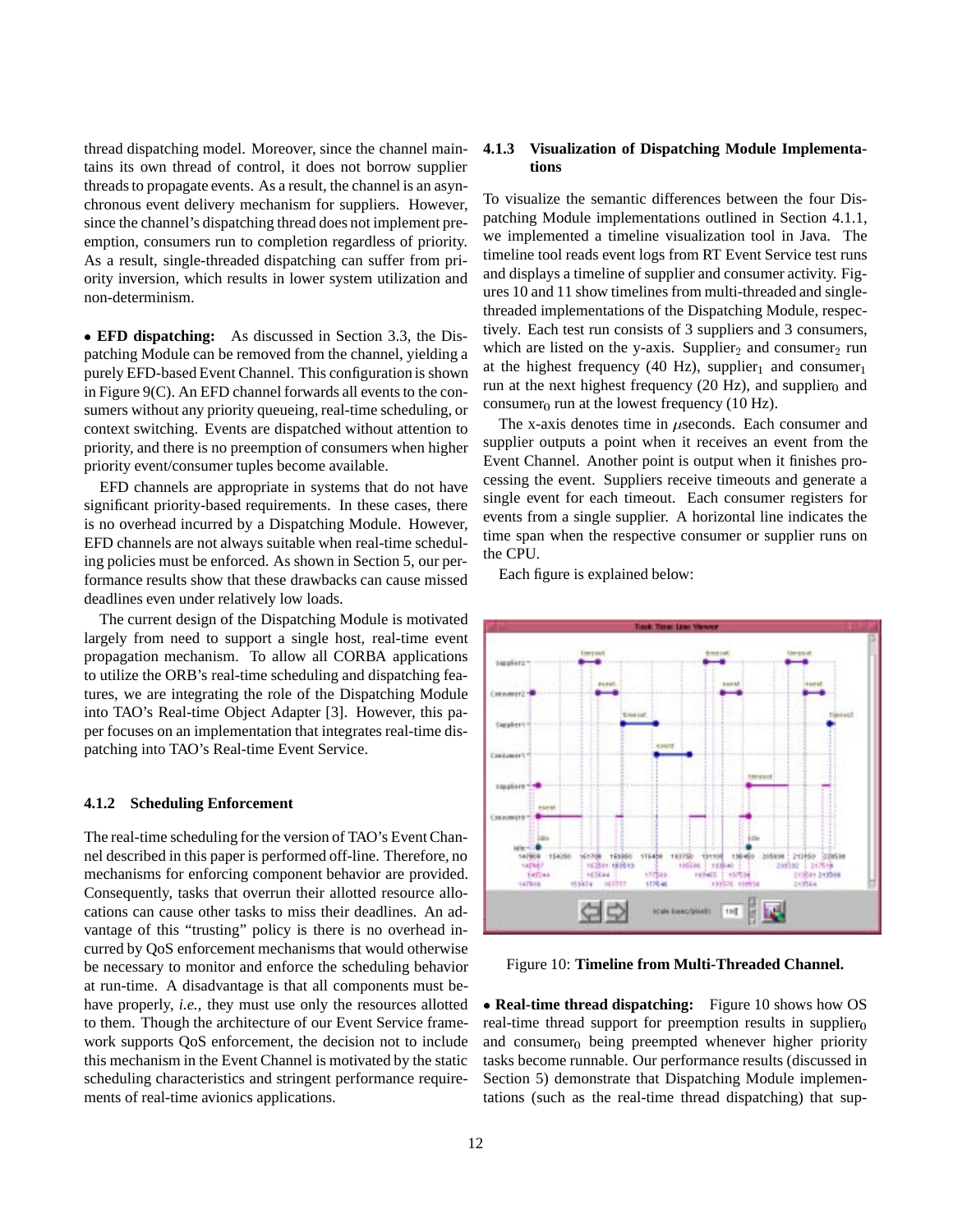thread dispatching model. Moreover, since the channel maintains its own thread of control, it does not borrow supplier threads to propagate events. As a result, the channel is an asynchronous event delivery mechanism for suppliers. However, since the channel's dispatching thread does not implement preemption, consumers run to completion regardless of priority. As a result, single-threaded dispatching can suffer from priority inversion, which results in lower system utilization and non-determinism.

 **EFD dispatching:** As discussed in Section 3.3, the Dispatching Module can be removed from the channel, yielding a purely EFD-based Event Channel. This configuration is shown in Figure 9(C). An EFD channel forwards all events to the consumers without any priority queueing, real-time scheduling, or context switching. Events are dispatched without attention to priority, and there is no preemption of consumers when higher priority event/consumer tuples become available.

EFD channels are appropriate in systems that do not have significant priority-based requirements. In these cases, there is no overhead incurred by a Dispatching Module. However, EFD channels are not always suitable when real-time scheduling policies must be enforced. As shown in Section 5, our performance results show that these drawbacks can cause missed deadlines even under relatively low loads.

The current design of the Dispatching Module is motivated largely from need to support a single host, real-time event propagation mechanism. To allow all CORBA applications to utilize the ORB's real-time scheduling and dispatching features, we are integrating the role of the Dispatching Module into TAO's Real-time Object Adapter [3]. However, this paper focuses on an implementation that integrates real-time dispatching into TAO's Real-time Event Service.

#### **4.1.2 Scheduling Enforcement**

The real-time scheduling for the version of TAO's Event Channel described in this paper is performed off-line. Therefore, no mechanisms for enforcing component behavior are provided. Consequently, tasks that overrun their allotted resource allocations can cause other tasks to miss their deadlines. An advantage of this "trusting" policy is there is no overhead incurred by QoS enforcement mechanisms that would otherwise be necessary to monitor and enforce the scheduling behavior at run-time. A disadvantage is that all components must behave properly, *i.e.*, they must use only the resources allotted to them. Though the architecture of our Event Service framework supports QoS enforcement, the decision not to include this mechanism in the Event Channel is motivated by the static scheduling characteristics and stringent performance requirements of real-time avionics applications.

#### **4.1.3 Visualization of Dispatching Module Implementations**

To visualize the semantic differences between the four Dispatching Module implementations outlined in Section 4.1.1, we implemented a timeline visualization tool in Java. The timeline tool reads event logs from RT Event Service test runs and displays a timeline of supplier and consumer activity. Figures 10 and 11 show timelines from multi-threaded and singlethreaded implementations of the Dispatching Module, respectively. Each test run consists of 3 suppliers and 3 consumers, which are listed on the y-axis. Supplier<sub>2</sub> and consumer<sub>2</sub> run at the highest frequency (40 Hz), supplier<sub>1</sub> and consumer<sub>1</sub> run at the next highest frequency (20 Hz), and supplier<sub>0</sub> and consumer<sub>0</sub> run at the lowest frequency (10 Hz).

The x-axis denotes time in  $\mu$ seconds. Each consumer and supplier outputs a point when it receives an event from the Event Channel. Another point is output when it finishes processing the event. Suppliers receive timeouts and generate a single event for each timeout. Each consumer registers for events from a single supplier. A horizontal line indicates the time span when the respective consumer or supplier runs on the CPU.

Each figure is explained below:

![](_page_11_Figure_10.jpeg)

Figure 10: **Timeline from Multi-Threaded Channel.**

 **Real-time thread dispatching:** Figure 10 shows how OS real-time thread support for preemption results in supplier<sub>0</sub> and consumer<sub>0</sub> being preempted whenever higher priority tasks become runnable. Our performance results (discussed in Section 5) demonstrate that Dispatching Module implementations (such as the real-time thread dispatching) that sup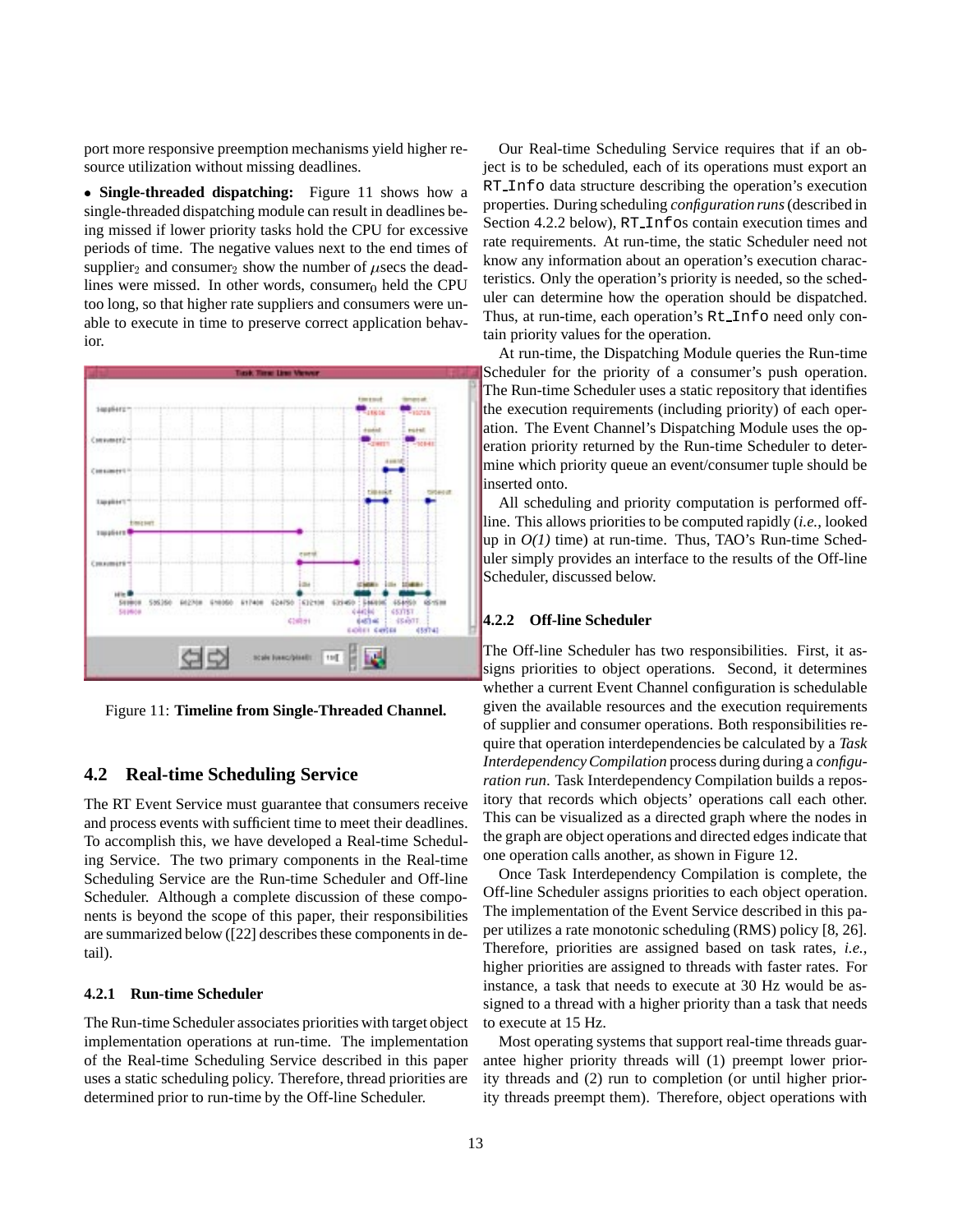port more responsive preemption mechanisms yield higher resource utilization without missing deadlines.

 **Single-threaded dispatching:** Figure 11 shows how a single-threaded dispatching module can result in deadlines being missed if lower priority tasks hold the CPU for excessive periods of time. The negative values next to the end times of supplier<sub>2</sub> and consumer<sub>2</sub> show the number of  $\mu$ secs the deadlines were missed. In other words, consumer<sub>0</sub> held the CPU too long, so that higher rate suppliers and consumers were unable to execute in time to preserve correct application behavior.

![](_page_12_Figure_2.jpeg)

Figure 11: **Timeline from Single-Threaded Channel.**

#### **4.2 Real-time Scheduling Service**

The RT Event Service must guarantee that consumers receive and process events with sufficient time to meet their deadlines. To accomplish this, we have developed a Real-time Scheduling Service. The two primary components in the Real-time Scheduling Service are the Run-time Scheduler and Off-line Scheduler. Although a complete discussion of these components is beyond the scope of this paper, their responsibilities are summarized below ([22] describes these components in detail).

#### **4.2.1 Run-time Scheduler**

The Run-time Scheduler associates priorities with target object implementation operations at run-time. The implementation of the Real-time Scheduling Service described in this paper uses a static scheduling policy. Therefore, thread priorities are determined prior to run-time by the Off-line Scheduler.

Our Real-time Scheduling Service requires that if an object is to be scheduled, each of its operations must export an RT Info data structure describing the operation's execution properties. During scheduling *configuration runs*(described in Section 4.2.2 below), RT Infos contain execution times and rate requirements. At run-time, the static Scheduler need not know any information about an operation's execution characteristics. Only the operation's priority is needed, so the scheduler can determine how the operation should be dispatched. Thus, at run-time, each operation's Rt Info need only contain priority values for the operation.

At run-time, the Dispatching Module queries the Run-time Scheduler for the priority of a consumer's push operation. The Run-time Scheduler uses a static repository that identifies the execution requirements (including priority) of each operation. The Event Channel's Dispatching Module uses the operation priority returned by the Run-time Scheduler to determine which priority queue an event/consumer tuple should be inserted onto.

All scheduling and priority computation is performed offline. This allows priorities to be computed rapidly (*i.e.*, looked up in  $O(1)$  time) at run-time. Thus, TAO's Run-time Scheduler simply provides an interface to the results of the Off-line Scheduler, discussed below.

#### **4.2.2 Off-line Scheduler**

The Off-line Scheduler has two responsibilities. First, it assigns priorities to object operations. Second, it determines whether a current Event Channel configuration is schedulable given the available resources and the execution requirements of supplier and consumer operations. Both responsibilities require that operation interdependencies be calculated by a *Task Interdependency Compilation* process during during a *configuration run*. Task Interdependency Compilation builds a repository that records which objects' operations call each other. This can be visualized as a directed graph where the nodes in the graph are object operations and directed edges indicate that one operation calls another, as shown in Figure 12.

Once Task Interdependency Compilation is complete, the Off-line Scheduler assigns priorities to each object operation. The implementation of the Event Service described in this paper utilizes a rate monotonic scheduling (RMS) policy [8, 26]. Therefore, priorities are assigned based on task rates, *i.e.*, higher priorities are assigned to threads with faster rates. For instance, a task that needs to execute at 30 Hz would be assigned to a thread with a higher priority than a task that needs to execute at 15 Hz.

Most operating systems that support real-time threads guarantee higher priority threads will (1) preempt lower priority threads and (2) run to completion (or until higher priority threads preempt them). Therefore, object operations with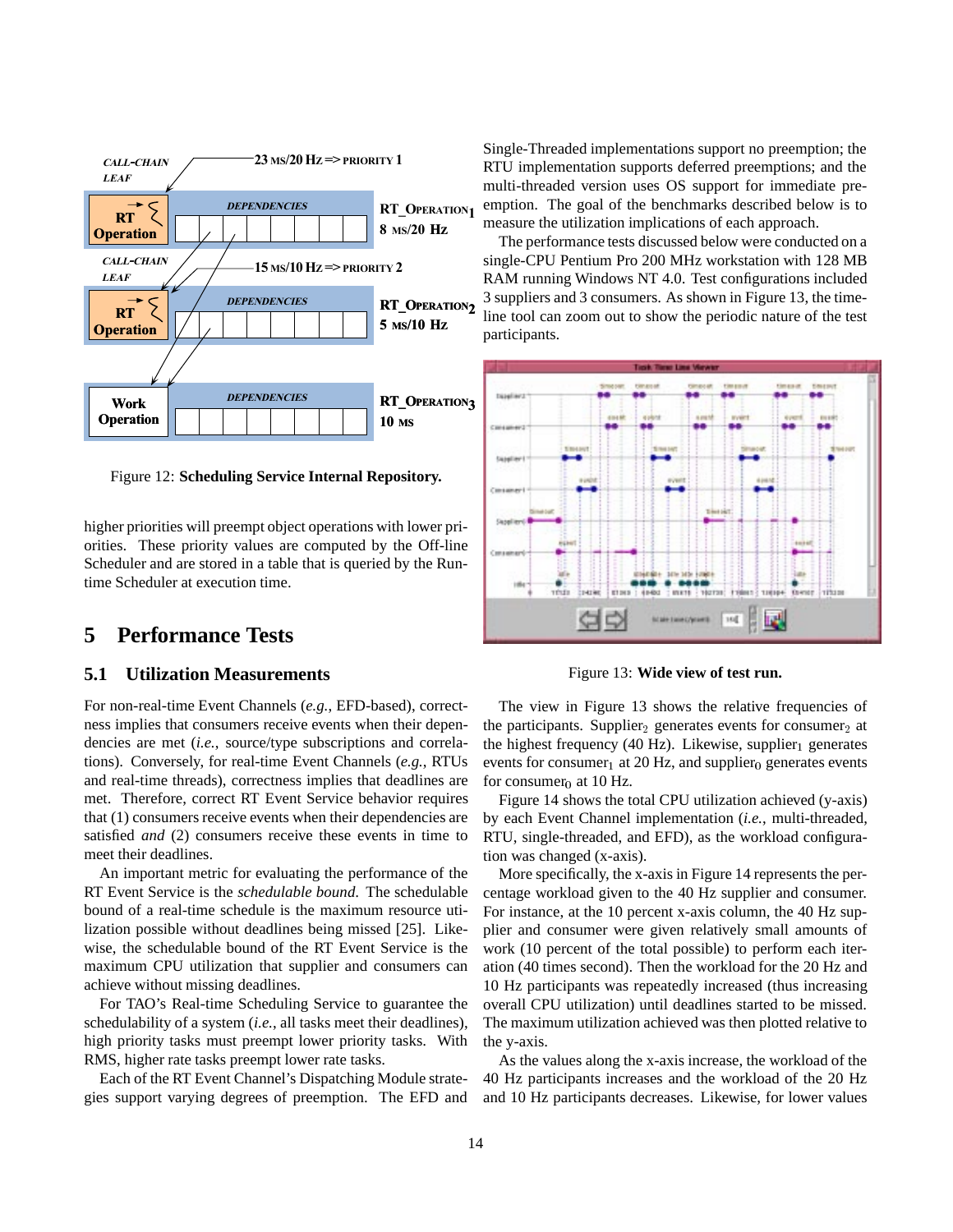![](_page_13_Figure_0.jpeg)

Figure 12: **Scheduling Service Internal Repository.**

higher priorities will preempt object operations with lower priorities. These priority values are computed by the Off-line Scheduler and are stored in a table that is queried by the Runtime Scheduler at execution time.

# **5 Performance Tests**

### **5.1 Utilization Measurements**

For non-real-time Event Channels (*e.g.*, EFD-based), correctness implies that consumers receive events when their dependencies are met (*i.e.*, source/type subscriptions and correlations). Conversely, for real-time Event Channels (*e.g.*, RTUs and real-time threads), correctness implies that deadlines are met. Therefore, correct RT Event Service behavior requires that (1) consumers receive events when their dependencies are satisfied *and* (2) consumers receive these events in time to meet their deadlines.

An important metric for evaluating the performance of the RT Event Service is the *schedulable bound*. The schedulable bound of a real-time schedule is the maximum resource utilization possible without deadlines being missed [25]. Likewise, the schedulable bound of the RT Event Service is the maximum CPU utilization that supplier and consumers can achieve without missing deadlines.

For TAO's Real-time Scheduling Service to guarantee the schedulability of a system (*i.e.*, all tasks meet their deadlines), high priority tasks must preempt lower priority tasks. With RMS, higher rate tasks preempt lower rate tasks.

Each of the RT Event Channel's Dispatching Module strategies support varying degrees of preemption. The EFD and Single-Threaded implementations support no preemption; the RTU implementation supports deferred preemptions; and the multi-threaded version uses OS support for immediate preemption. The goal of the benchmarks described below is to measure the utilization implications of each approach.

The performance tests discussed below were conducted on a single-CPU Pentium Pro 200 MHz workstation with 128 MB RAM running Windows NT 4.0. Test configurations included 3 suppliers and 3 consumers. As shown in Figure 13, the timeline tool can zoom out to show the periodic nature of the test participants.

![](_page_13_Figure_11.jpeg)

Figure 13: **Wide view of test run.**

The view in Figure 13 shows the relative frequencies of the participants. Supplier<sub>2</sub> generates events for consumer<sub>2</sub> at the highest frequency (40 Hz). Likewise, supplier $_1$  generates events for consumer<sub>1</sub> at 20 Hz, and supplier<sub>0</sub> generates events for consumer<sub>0</sub> at 10 Hz.

Figure 14 shows the total CPU utilization achieved (y-axis) by each Event Channel implementation (*i.e.*, multi-threaded, RTU, single-threaded, and EFD), as the workload configuration was changed (x-axis).

More specifically, the x-axis in Figure 14 represents the percentage workload given to the 40 Hz supplier and consumer. For instance, at the 10 percent x-axis column, the 40 Hz supplier and consumer were given relatively small amounts of work (10 percent of the total possible) to perform each iteration (40 times second). Then the workload for the 20 Hz and 10 Hz participants was repeatedly increased (thus increasing overall CPU utilization) until deadlines started to be missed. The maximum utilization achieved was then plotted relative to the y-axis.

As the values along the x-axis increase, the workload of the 40 Hz participants increases and the workload of the 20 Hz and 10 Hz participants decreases. Likewise, for lower values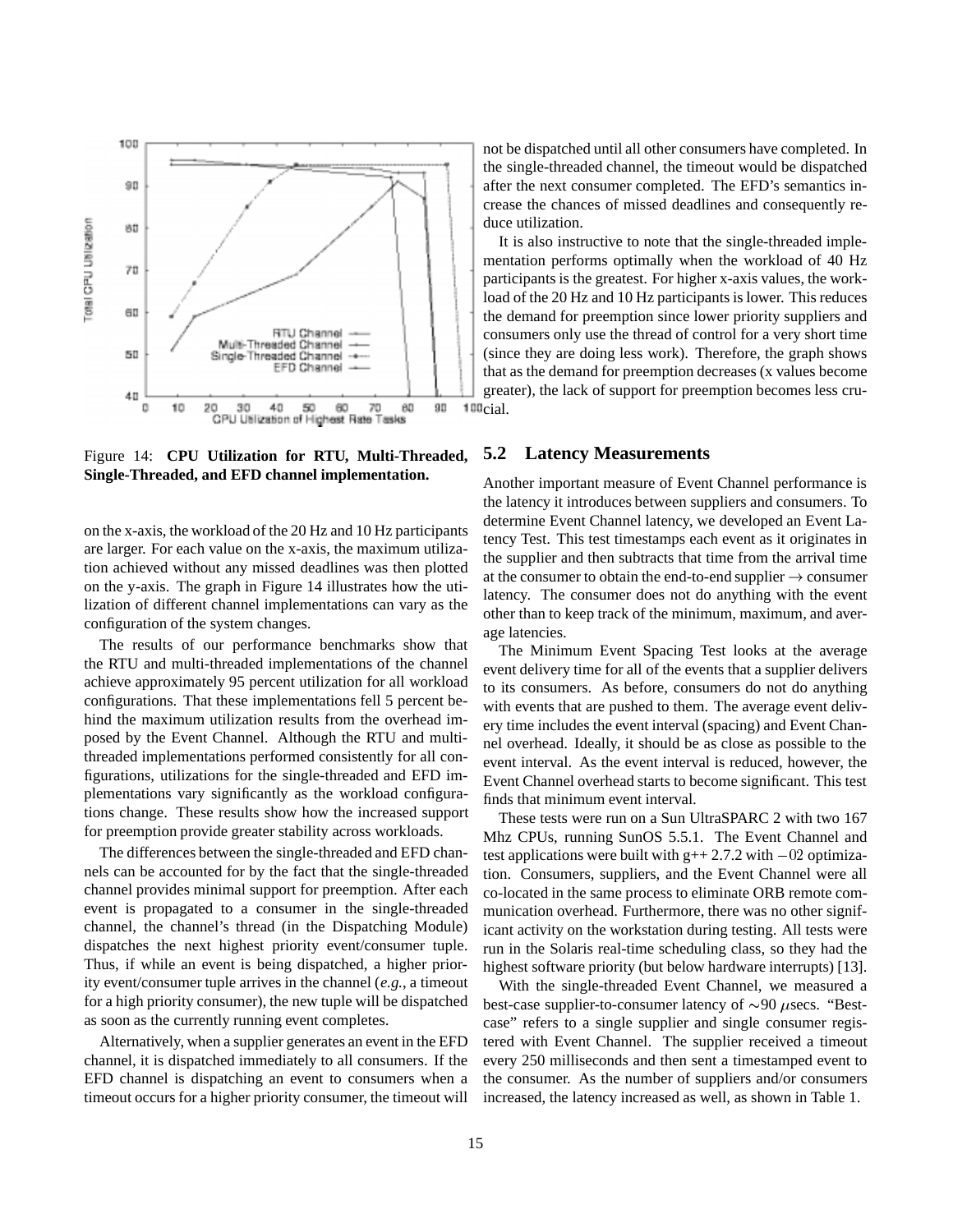![](_page_14_Figure_0.jpeg)

Figure 14: **CPU Utilization for RTU, Multi-Threaded, Single-Threaded, and EFD channel implementation.**

on the x-axis, the workload of the 20 Hz and 10 Hz participants are larger. For each value on the x-axis, the maximum utilization achieved without any missed deadlines was then plotted on the y-axis. The graph in Figure 14 illustrates how the utilization of different channel implementations can vary as the configuration of the system changes.

The results of our performance benchmarks show that the RTU and multi-threaded implementations of the channel achieve approximately 95 percent utilization for all workload configurations. That these implementations fell 5 percent behind the maximum utilization results from the overhead imposed by the Event Channel. Although the RTU and multithreaded implementations performed consistently for all configurations, utilizations for the single-threaded and EFD implementations vary significantly as the workload configurations change. These results show how the increased support for preemption provide greater stability across workloads.

The differences between the single-threaded and EFD channels can be accounted for by the fact that the single-threaded channel provides minimal support for preemption. After each event is propagated to a consumer in the single-threaded channel, the channel's thread (in the Dispatching Module) dispatches the next highest priority event/consumer tuple. Thus, if while an event is being dispatched, a higher priority event/consumer tuple arrives in the channel (*e.g.*, a timeout for a high priority consumer), the new tuple will be dispatched as soon as the currently running event completes.

Alternatively, when a supplier generates an event in the EFD channel, it is dispatched immediately to all consumers. If the EFD channel is dispatching an event to consumers when a timeout occurs for a higher priority consumer, the timeout will not be dispatched until all other consumers have completed. In the single-threaded channel, the timeout would be dispatched after the next consumer completed. The EFD's semantics increase the chances of missed deadlines and consequently reduce utilization.

It is also instructive to note that the single-threaded implementation performs optimally when the workload of 40 Hz participants is the greatest. For higher x-axis values, the workload of the 20 Hz and 10 Hz participants is lower. This reduces the demand for preemption since lower priority suppliers and consumers only use the thread of control for a very short time (since they are doing less work). Therefore, the graph shows that as the demand for preemption decreases (x values become greater), the lack of support for preemption becomes less cru-100cial.

#### **5.2 Latency Measurements**

Another important measure of Event Channel performance is the latency it introduces between suppliers and consumers. To determine Event Channel latency, we developed an Event Latency Test. This test timestamps each event as it originates in the supplier and then subtracts that time from the arrival time at the consumer to obtain the end-to-end supplier  $\rightarrow$  consumer latency. The consumer does not do anything with the event other than to keep track of the minimum, maximum, and average latencies.

The Minimum Event Spacing Test looks at the average event delivery time for all of the events that a supplier delivers to its consumers. As before, consumers do not do anything with events that are pushed to them. The average event delivery time includes the event interval (spacing) and Event Channel overhead. Ideally, it should be as close as possible to the event interval. As the event interval is reduced, however, the Event Channel overhead starts to become significant. This test finds that minimum event interval.

These tests were run on a Sun UltraSPARC 2 with two 167 Mhz CPUs, running SunOS 5.5.1. The Event Channel and test applications were built with  $g++ 2.7.2$  with  $-02$  optimization. Consumers, suppliers, and the Event Channel were all co-located in the same process to eliminate ORB remote communication overhead. Furthermore, there was no other significant activity on the workstation during testing. All tests were run in the Solaris real-time scheduling class, so they had the highest software priority (but below hardware interrupts) [13].

With the single-threaded Event Channel, we measured a best-case supplier-to-consumer latency of  $\sim 90$   $\mu$ secs. "Bestcase" refers to a single supplier and single consumer registered with Event Channel. The supplier received a timeout every 250 milliseconds and then sent a timestamped event to the consumer. As the number of suppliers and/or consumers increased, the latency increased as well, as shown in Table 1.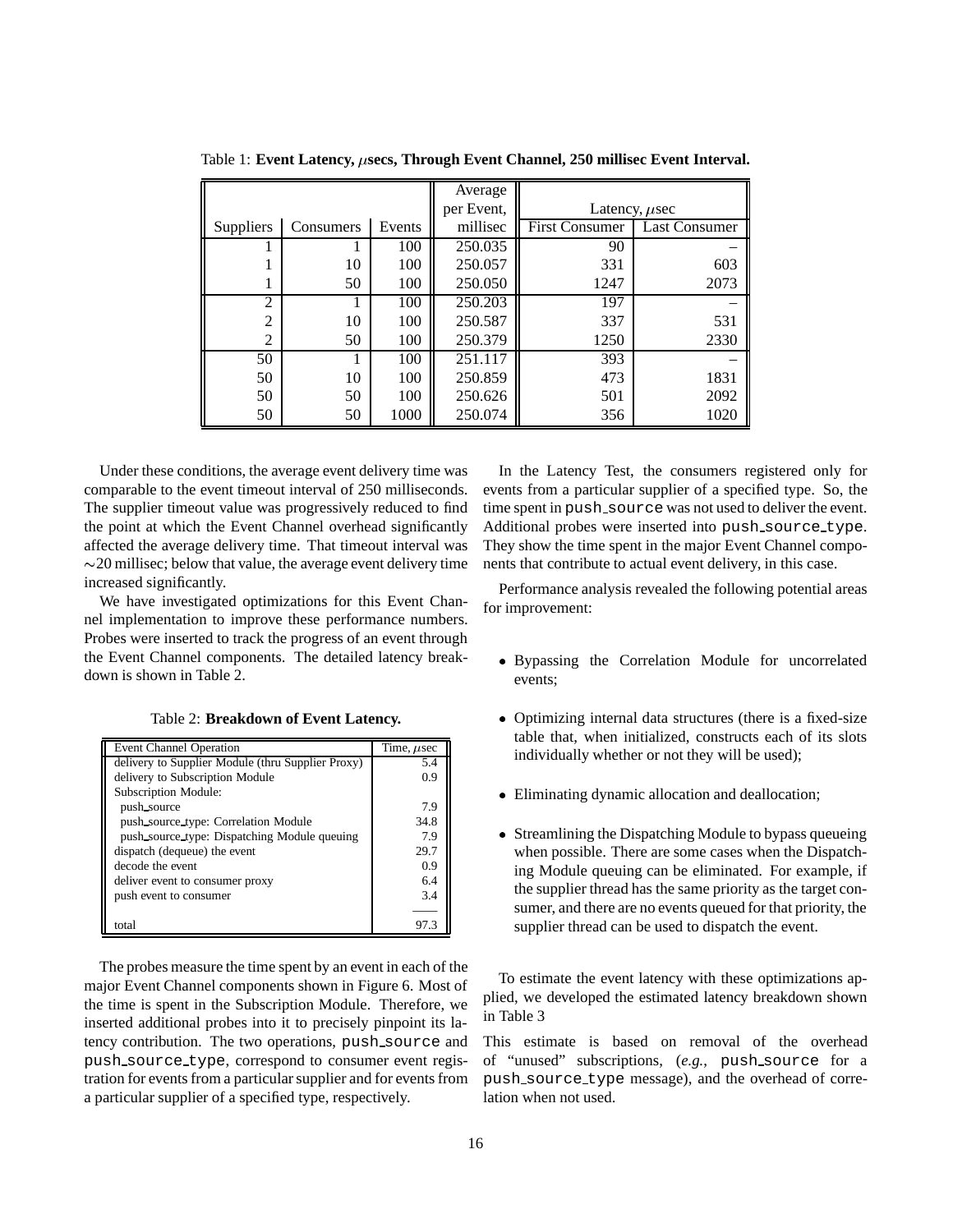|                |           |        | Average    |                       |                      |  |
|----------------|-----------|--------|------------|-----------------------|----------------------|--|
|                |           |        | per Event, | Latency, $\mu$ sec    |                      |  |
| Suppliers      | Consumers | Events | millisec   | <b>First Consumer</b> | <b>Last Consumer</b> |  |
|                |           | 100    | 250.035    | 90                    |                      |  |
|                | 10        | 100    | 250.057    | 331                   | 603                  |  |
|                | 50        | 100    | 250.050    | 1247                  | 2073                 |  |
| $\mathfrak{D}$ |           | 100    | 250.203    | 197                   |                      |  |
| っ              | 10        | 100    | 250.587    | 337                   | 531                  |  |
| $\mathfrak{D}$ | 50        | 100    | 250.379    | 1250                  | 2330                 |  |
| 50             |           | 100    | 251.117    | 393                   |                      |  |
| 50             | 10        | 100    | 250.859    | 473                   | 1831                 |  |
| 50             | 50        | 100    | 250.626    | 501                   | 2092                 |  |
| 50             | 50        | 1000   | 250.074    | 356                   | 1020                 |  |

Table 1: **Event Latency,** *usecs***, Through Event Channel, 250 millisec Event Interval.** 

Under these conditions, the average event delivery time was comparable to the event timeout interval of 250 milliseconds. The supplier timeout value was progressively reduced to find the point at which the Event Channel overhead significantly affected the average delivery time. That timeout interval was  $\sim$ 20 millisec; below that value, the average event delivery time increased significantly.

We have investigated optimizations for this Event Channel implementation to improve these performance numbers. Probes were inserted to track the progress of an event through the Event Channel components. The detailed latency breakdown is shown in Table 2.

Table 2: **Breakdown of Event Latency.**

| <b>Event Channel Operation</b>                    | Time, $\mu$ sec |  |
|---------------------------------------------------|-----------------|--|
| delivery to Supplier Module (thru Supplier Proxy) | 5.4             |  |
| delivery to Subscription Module                   | 0.9             |  |
| <b>Subscription Module:</b>                       |                 |  |
| push_source                                       | 7.9             |  |
| push_source_type: Correlation Module              | 34.8            |  |
| push source type: Dispatching Module queuing      | 7.9             |  |
| dispatch (dequeue) the event                      | 29.7            |  |
| decode the event                                  | 0.9             |  |
| deliver event to consumer proxy                   | 6.4             |  |
| push event to consumer                            | 3.4             |  |
|                                                   |                 |  |
| total                                             | 97.3            |  |

The probes measure the time spent by an event in each of the major Event Channel components shown in Figure 6. Most of the time is spent in the Subscription Module. Therefore, we inserted additional probes into it to precisely pinpoint its latency contribution. The two operations, push source and push source type, correspond to consumer event registration for events from a particular supplier and for events from a particular supplier of a specified type, respectively.

In the Latency Test, the consumers registered only for events from a particular supplier of a specified type. So, the time spent in push\_source was not used to deliver the event. Additional probes were inserted into push\_source\_type. They show the time spent in the major Event Channel components that contribute to actual event delivery, in this case.

Performance analysis revealed the following potential areas for improvement:

- Bypassing the Correlation Module for uncorrelated events;
- Optimizing internal data structures (there is a fixed-size table that, when initialized, constructs each of its slots individually whether or not they will be used);
- Eliminating dynamic allocation and deallocation;
- Streamlining the Dispatching Module to bypass queueing when possible. There are some cases when the Dispatching Module queuing can be eliminated. For example, if the supplier thread has the same priority as the target consumer, and there are no events queued for that priority, the supplier thread can be used to dispatch the event.

To estimate the event latency with these optimizations applied, we developed the estimated latency breakdown shown in Table 3

This estimate is based on removal of the overhead of "unused" subscriptions, (*e.g.*, push source for a push source type message), and the overhead of correlation when not used.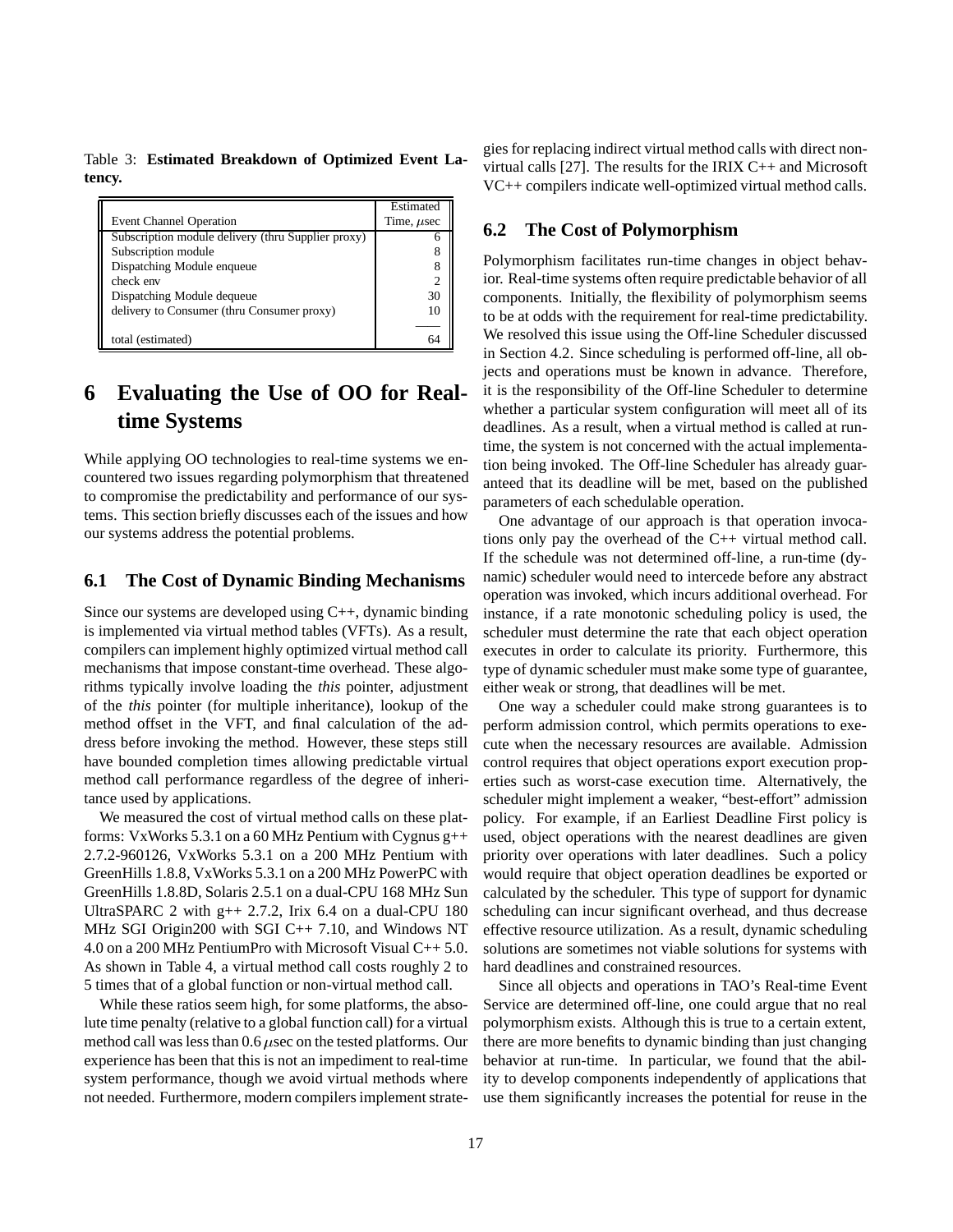Table 3: **Estimated Breakdown of Optimized Event Latency.**

|                                                    | Estimated       |
|----------------------------------------------------|-----------------|
| <b>Event Channel Operation</b>                     | Time, $\mu$ sec |
| Subscription module delivery (thru Supplier proxy) |                 |
| Subscription module                                |                 |
| Dispatching Module enqueue                         |                 |
| check env                                          |                 |
| Dispatching Module dequeue                         | 30              |
| delivery to Consumer (thru Consumer proxy)         | 10              |
|                                                    |                 |
| total (estimated)                                  |                 |

# **6 Evaluating the Use of OO for Realtime Systems**

While applying OO technologies to real-time systems we encountered two issues regarding polymorphism that threatened to compromise the predictability and performance of our systems. This section briefly discusses each of the issues and how our systems address the potential problems.

#### **6.1 The Cost of Dynamic Binding Mechanisms**

Since our systems are developed using C++, dynamic binding is implemented via virtual method tables (VFTs). As a result, compilers can implement highly optimized virtual method call mechanisms that impose constant-time overhead. These algorithms typically involve loading the *this* pointer, adjustment of the *this* pointer (for multiple inheritance), lookup of the method offset in the VFT, and final calculation of the address before invoking the method. However, these steps still have bounded completion times allowing predictable virtual method call performance regardless of the degree of inheritance used by applications.

We measured the cost of virtual method calls on these platforms: VxWorks 5.3.1 on a 60 MHz Pentium with Cygnus  $g++$ 2.7.2-960126, VxWorks 5.3.1 on a 200 MHz Pentium with GreenHills 1.8.8, VxWorks 5.3.1 on a 200 MHz PowerPC with GreenHills 1.8.8D, Solaris 2.5.1 on a dual-CPU 168 MHz Sun UltraSPARC 2 with  $g++ 2.7.2$ , Irix 6.4 on a dual-CPU 180 MHz SGI Origin200 with SGI C++ 7.10, and Windows NT 4.0 on a 200 MHz PentiumPro with Microsoft Visual C++ 5.0. As shown in Table 4, a virtual method call costs roughly 2 to 5 times that of a global function or non-virtual method call.

While these ratios seem high, for some platforms, the absolute time penalty (relative to a global function call) for a virtual method call was less than  $0.6 \mu$ sec on the tested platforms. Our experience has been that this is not an impediment to real-time system performance, though we avoid virtual methods where not needed. Furthermore, modern compilers implement strategies for replacing indirect virtual method calls with direct nonvirtual calls [27]. The results for the IRIX  $C_{++}$  and Microsoft VC++ compilers indicate well-optimized virtual method calls.

#### **6.2 The Cost of Polymorphism**

Polymorphism facilitates run-time changes in object behavior. Real-time systems often require predictable behavior of all components. Initially, the flexibility of polymorphism seems to be at odds with the requirement for real-time predictability. We resolved this issue using the Off-line Scheduler discussed in Section 4.2. Since scheduling is performed off-line, all objects and operations must be known in advance. Therefore, it is the responsibility of the Off-line Scheduler to determine whether a particular system configuration will meet all of its deadlines. As a result, when a virtual method is called at runtime, the system is not concerned with the actual implementation being invoked. The Off-line Scheduler has already guaranteed that its deadline will be met, based on the published parameters of each schedulable operation.

One advantage of our approach is that operation invocations only pay the overhead of the C++ virtual method call. If the schedule was not determined off-line, a run-time (dynamic) scheduler would need to intercede before any abstract operation was invoked, which incurs additional overhead. For instance, if a rate monotonic scheduling policy is used, the scheduler must determine the rate that each object operation executes in order to calculate its priority. Furthermore, this type of dynamic scheduler must make some type of guarantee, either weak or strong, that deadlines will be met.

One way a scheduler could make strong guarantees is to perform admission control, which permits operations to execute when the necessary resources are available. Admission control requires that object operations export execution properties such as worst-case execution time. Alternatively, the scheduler might implement a weaker, "best-effort" admission policy. For example, if an Earliest Deadline First policy is used, object operations with the nearest deadlines are given priority over operations with later deadlines. Such a policy would require that object operation deadlines be exported or calculated by the scheduler. This type of support for dynamic scheduling can incur significant overhead, and thus decrease effective resource utilization. As a result, dynamic scheduling solutions are sometimes not viable solutions for systems with hard deadlines and constrained resources.

Since all objects and operations in TAO's Real-time Event Service are determined off-line, one could argue that no real polymorphism exists. Although this is true to a certain extent, there are more benefits to dynamic binding than just changing behavior at run-time. In particular, we found that the ability to develop components independently of applications that use them significantly increases the potential for reuse in the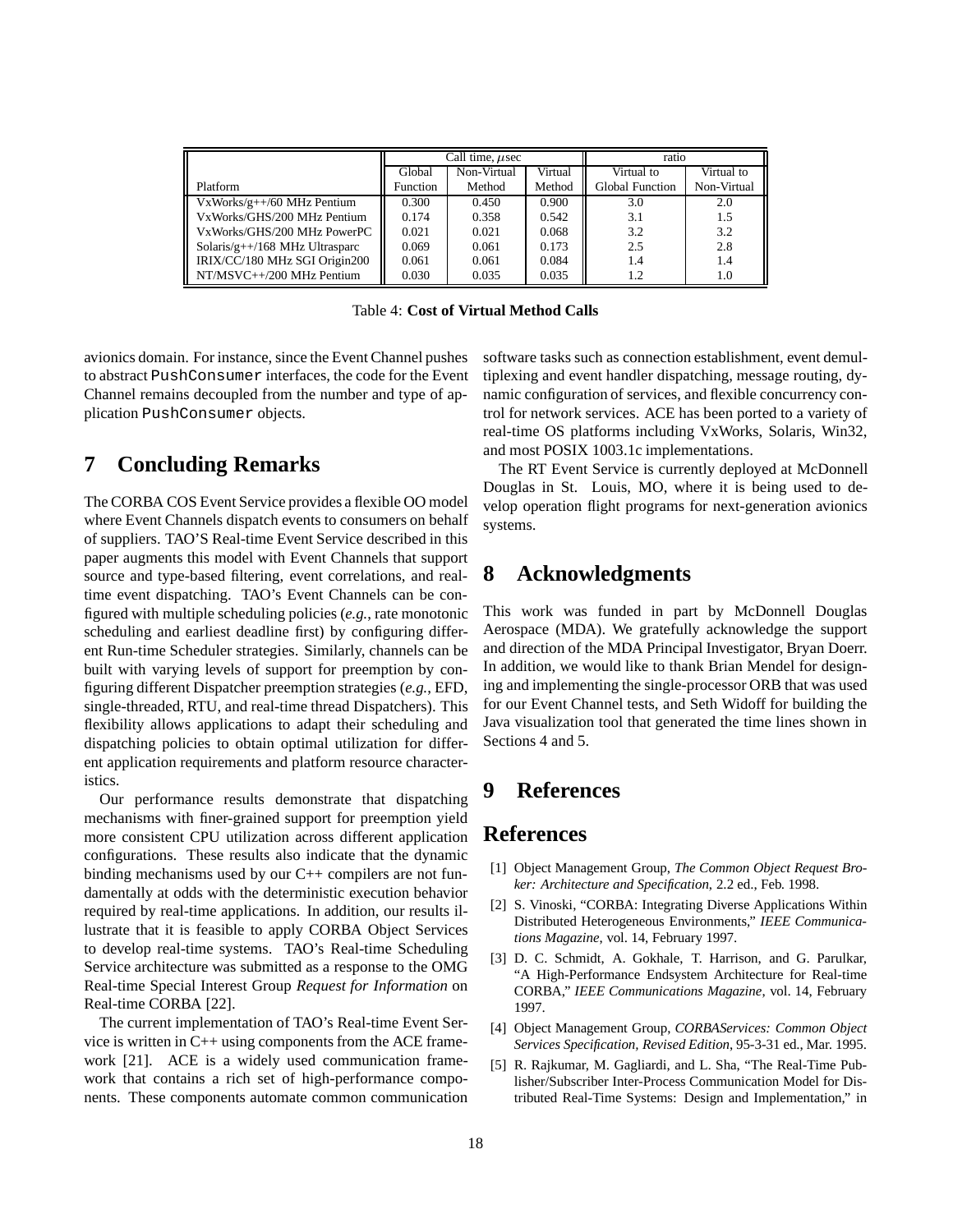|                                | Call time, $\mu$ sec |             |         | ratio                  |             |  |
|--------------------------------|----------------------|-------------|---------|------------------------|-------------|--|
|                                | Global               | Non-Virtual | Virtual | Virtual to             | Virtual to  |  |
| Platform                       | Function             | Method      | Method  | <b>Global Function</b> | Non-Virtual |  |
| $VxWorks/g++/60 MHz$ Pentium   | 0.300                | 0.450       | 0.900   | 3.0                    | 2.0         |  |
| VxWorks/GHS/200 MHz Pentium    | 0.174                | 0.358       | 0.542   | 3.1                    | 1.5         |  |
| VxWorks/GHS/200 MHz PowerPC    | 0.021                | 0.021       | 0.068   | 3.2                    | 3.2         |  |
| Solaris/g++/168 MHz Ultrasparc | 0.069                | 0.061       | 0.173   | 2.5                    | 2.8         |  |
| IRIX/CC/180 MHz SGI Origin200  | 0.061                | 0.061       | 0.084   | 1.4                    | 1.4         |  |
| NT/MSVC++/200 MHz Pentium      | 0.030                | 0.035       | 0.035   | 1.2                    | 1.0         |  |

Table 4: **Cost of Virtual Method Calls**

avionics domain. For instance, since the Event Channel pushes to abstract PushConsumer interfaces, the code for the Event Channel remains decoupled from the number and type of application PushConsumer objects.

## **7 Concluding Remarks**

The CORBA COS Event Service provides a flexible OO model where Event Channels dispatch events to consumers on behalf of suppliers. TAO'S Real-time Event Service described in this paper augments this model with Event Channels that support source and type-based filtering, event correlations, and realtime event dispatching. TAO's Event Channels can be configured with multiple scheduling policies (*e.g.*, rate monotonic scheduling and earliest deadline first) by configuring different Run-time Scheduler strategies. Similarly, channels can be built with varying levels of support for preemption by configuring different Dispatcher preemption strategies (*e.g.*, EFD, single-threaded, RTU, and real-time thread Dispatchers). This flexibility allows applications to adapt their scheduling and dispatching policies to obtain optimal utilization for different application requirements and platform resource characteristics.

Our performance results demonstrate that dispatching mechanisms with finer-grained support for preemption yield more consistent CPU utilization across different application configurations. These results also indicate that the dynamic binding mechanisms used by our C++ compilers are not fundamentally at odds with the deterministic execution behavior required by real-time applications. In addition, our results illustrate that it is feasible to apply CORBA Object Services to develop real-time systems. TAO's Real-time Scheduling Service architecture was submitted as a response to the OMG Real-time Special Interest Group *Request for Information* on Real-time CORBA [22].

The current implementation of TAO's Real-time Event Service is written in C++ using components from the ACE framework [21]. ACE is a widely used communication framework that contains a rich set of high-performance components. These components automate common communication software tasks such as connection establishment, event demultiplexing and event handler dispatching, message routing, dynamic configuration of services, and flexible concurrency control for network services. ACE has been ported to a variety of real-time OS platforms including VxWorks, Solaris, Win32, and most POSIX 1003.1c implementations.

The RT Event Service is currently deployed at McDonnell Douglas in St. Louis, MO, where it is being used to develop operation flight programs for next-generation avionics systems.

## **8 Acknowledgments**

This work was funded in part by McDonnell Douglas Aerospace (MDA). We gratefully acknowledge the support and direction of the MDA Principal Investigator, Bryan Doerr. In addition, we would like to thank Brian Mendel for designing and implementing the single-processor ORB that was used for our Event Channel tests, and Seth Widoff for building the Java visualization tool that generated the time lines shown in Sections 4 and 5.

## **9 References**

## **References**

- [1] Object Management Group, *The Common Object Request Broker: Architecture and Specification*, 2.2 ed., Feb. 1998.
- [2] S. Vinoski, "CORBA: Integrating Diverse Applications Within Distributed Heterogeneous Environments," *IEEE Communications Magazine*, vol. 14, February 1997.
- [3] D. C. Schmidt, A. Gokhale, T. Harrison, and G. Parulkar, "A High-Performance Endsystem Architecture for Real-time CORBA," *IEEE Communications Magazine*, vol. 14, February 1997.
- [4] Object Management Group, *CORBAServices: Common Object Services Specification, Revised Edition*, 95-3-31 ed., Mar. 1995.
- [5] R. Rajkumar, M. Gagliardi, and L. Sha, "The Real-Time Publisher/Subscriber Inter-Process Communication Model for Distributed Real-Time Systems: Design and Implementation," in